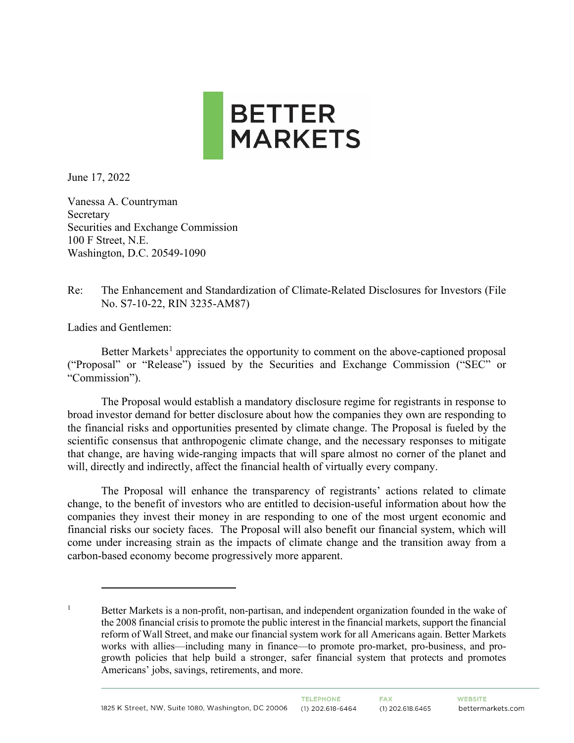

June 17, 2022

Vanessa A. Countryman Secretary Securities and Exchange Commission 100 F Street, N.E. Washington, D.C. 20549-1090

## Re: The Enhancement and Standardization of Climate-Related Disclosures for Investors (File No. S7-10-22, RIN 3235-AM87)

Ladies and Gentlemen:

Better Markets<sup>[1](#page-0-0)</sup> appreciates the opportunity to comment on the above-captioned proposal ("Proposal" or "Release") issued by the Securities and Exchange Commission ("SEC" or "Commission").

The Proposal would establish a mandatory disclosure regime for registrants in response to broad investor demand for better disclosure about how the companies they own are responding to the financial risks and opportunities presented by climate change. The Proposal is fueled by the scientific consensus that anthropogenic climate change, and the necessary responses to mitigate that change, are having wide-ranging impacts that will spare almost no corner of the planet and will, directly and indirectly, affect the financial health of virtually every company.

The Proposal will enhance the transparency of registrants' actions related to climate change, to the benefit of investors who are entitled to decision-useful information about how the companies they invest their money in are responding to one of the most urgent economic and financial risks our society faces. The Proposal will also benefit our financial system, which will come under increasing strain as the impacts of climate change and the transition away from a carbon-based economy become progressively more apparent.

<span id="page-0-0"></span><sup>&</sup>lt;sup>1</sup> Better Markets is a non-profit, non-partisan, and independent organization founded in the wake of the 2008 financial crisis to promote the public interest in the financial markets, support the financial reform of Wall Street, and make our financial system work for all Americans again. Better Markets works with allies—including many in finance—to promote pro-market, pro-business, and progrowth policies that help build a stronger, safer financial system that protects and promotes Americans' jobs, savings, retirements, and more.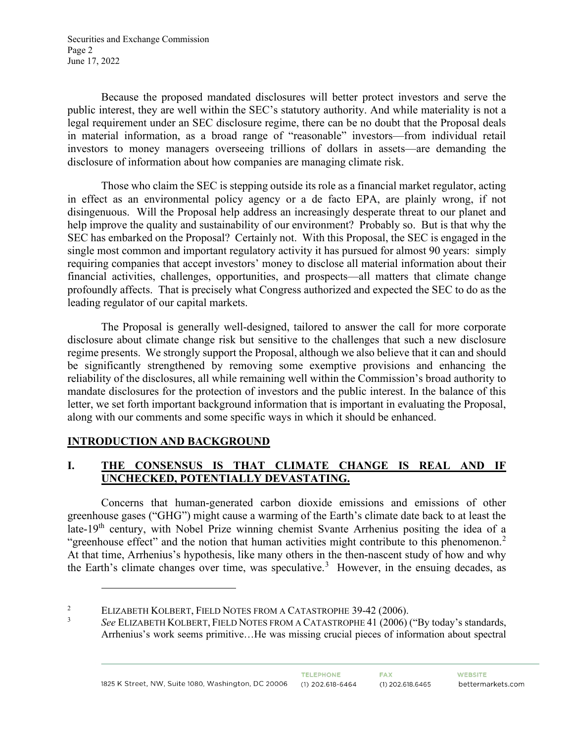Securities and Exchange Commission Page 2 June 17, 2022

Because the proposed mandated disclosures will better protect investors and serve the public interest, they are well within the SEC's statutory authority. And while materiality is not a legal requirement under an SEC disclosure regime, there can be no doubt that the Proposal deals in material information, as a broad range of "reasonable" investors—from individual retail investors to money managers overseeing trillions of dollars in assets—are demanding the disclosure of information about how companies are managing climate risk.

Those who claim the SEC is stepping outside its role as a financial market regulator, acting in effect as an environmental policy agency or a de facto EPA, are plainly wrong, if not disingenuous. Will the Proposal help address an increasingly desperate threat to our planet and help improve the quality and sustainability of our environment? Probably so. But is that why the SEC has embarked on the Proposal? Certainly not. With this Proposal, the SEC is engaged in the single most common and important regulatory activity it has pursued for almost 90 years: simply requiring companies that accept investors' money to disclose all material information about their financial activities, challenges, opportunities, and prospects—all matters that climate change profoundly affects. That is precisely what Congress authorized and expected the SEC to do as the leading regulator of our capital markets.

The Proposal is generally well-designed, tailored to answer the call for more corporate disclosure about climate change risk but sensitive to the challenges that such a new disclosure regime presents. We strongly support the Proposal, although we also believe that it can and should be significantly strengthened by removing some exemptive provisions and enhancing the reliability of the disclosures, all while remaining well within the Commission's broad authority to mandate disclosures for the protection of investors and the public interest. In the balance of this letter, we set forth important background information that is important in evaluating the Proposal, along with our comments and some specific ways in which it should be enhanced.

## **INTRODUCTION AND BACKGROUND**

# **I. THE CONSENSUS IS THAT CLIMATE CHANGE IS REAL AND IF UNCHECKED, POTENTIALLY DEVASTATING.**

Concerns that human-generated carbon dioxide emissions and emissions of other greenhouse gases ("GHG") might cause a warming of the Earth's climate date back to at least the late-19<sup>th</sup> century, with Nobel Prize winning chemist Svante Arrhenius positing the idea of a "greenhouse effect" and the notion that human activities might contribute to this phenomenon.<sup>[2](#page-1-0)</sup> At that time, Arrhenius's hypothesis, like many others in the then-nascent study of how and why the Earth's climate changes over time, was speculative.<sup>[3](#page-1-1)</sup> However, in the ensuing decades, as

<span id="page-1-1"></span><span id="page-1-0"></span><sup>2</sup> ELIZABETH KOLBERT, FIELD NOTES FROM A CATASTROPHE 39-42 (2006). 3

*See* ELIZABETH KOLBERT, FIELD NOTES FROM A CATASTROPHE 41 (2006) ("By today's standards, Arrhenius's work seems primitive…He was missing crucial pieces of information about spectral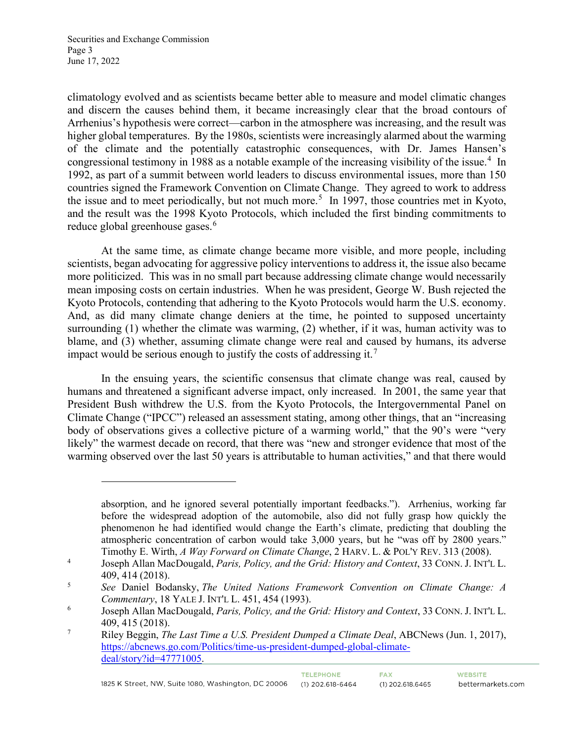Securities and Exchange Commission Page 3 June 17, 2022

climatology evolved and as scientists became better able to measure and model climatic changes and discern the causes behind them, it became increasingly clear that the broad contours of Arrhenius's hypothesis were correct—carbon in the atmosphere was increasing, and the result was higher global temperatures. By the 1980s, scientists were increasingly alarmed about the warming of the climate and the potentially catastrophic consequences, with Dr. James Hansen's congressional testimony in 1988 as a notable example of the increasing visibility of the issue.<sup>[4](#page-2-0)</sup> In 1992, as part of a summit between world leaders to discuss environmental issues, more than 150 countries signed the Framework Convention on Climate Change. They agreed to work to address the issue and to meet periodically, but not much more.<sup>[5](#page-2-1)</sup> In 1997, those countries met in Kyoto, and the result was the 1998 Kyoto Protocols, which included the first binding commitments to reduce global greenhouse gases.<sup>[6](#page-2-2)</sup>

At the same time, as climate change became more visible, and more people, including scientists, began advocating for aggressive policy interventions to address it, the issue also became more politicized. This was in no small part because addressing climate change would necessarily mean imposing costs on certain industries. When he was president, George W. Bush rejected the Kyoto Protocols, contending that adhering to the Kyoto Protocols would harm the U.S. economy. And, as did many climate change deniers at the time, he pointed to supposed uncertainty surrounding (1) whether the climate was warming, (2) whether, if it was, human activity was to blame, and (3) whether, assuming climate change were real and caused by humans, its adverse impact would be serious enough to justify the costs of addressing it.<sup>[7](#page-2-3)</sup>

In the ensuing years, the scientific consensus that climate change was real, caused by humans and threatened a significant adverse impact, only increased. In 2001, the same year that President Bush withdrew the U.S. from the Kyoto Protocols, the Intergovernmental Panel on Climate Change ("IPCC") released an assessment stating, among other things, that an "increasing body of observations gives a collective picture of a warming world," that the 90's were "very likely" the warmest decade on record, that there was "new and stronger evidence that most of the warming observed over the last 50 years is attributable to human activities," and that there would

**FAX** 

absorption, and he ignored several potentially important feedbacks."). Arrhenius, working far before the widespread adoption of the automobile, also did not fully grasp how quickly the phenomenon he had identified would change the Earth's climate, predicting that doubling the atmospheric concentration of carbon would take 3,000 years, but he "was off by 2800 years." Timothy E. Wirth, *A Way Forward on Climate Change*, 2 HARV. L. & POL'Y REV. 313 (2008).

<span id="page-2-0"></span><sup>4</sup> Joseph Allan MacDougald, *Paris, Policy, and the Grid: History and Context*, 33 CONN. J. INT'L L. 409, 414 (2018).

<span id="page-2-1"></span><sup>5</sup> *See* Daniel Bodansky, *The United Nations Framework Convention on Climate Change: A Commentary*, 18 YALE J. INT'L L. 451, 454 (1993).

<span id="page-2-2"></span><sup>6</sup> Joseph Allan MacDougald, *Paris, Policy, and the Grid: History and Context*, 33 CONN. J. INT'L L. 409, 415 (2018).

<span id="page-2-3"></span><sup>7</sup> Riley Beggin, *The Last Time a U.S. President Dumped a Climate Deal*, ABCNews (Jun. 1, 2017), [https://abcnews.go.com/Politics/time-us-president-dumped-global-climate](https://abcnews.go.com/Politics/time-us-president-dumped-global-climate-deal/story?id=47771005)[deal/story?id=47771005.](https://abcnews.go.com/Politics/time-us-president-dumped-global-climate-deal/story?id=47771005)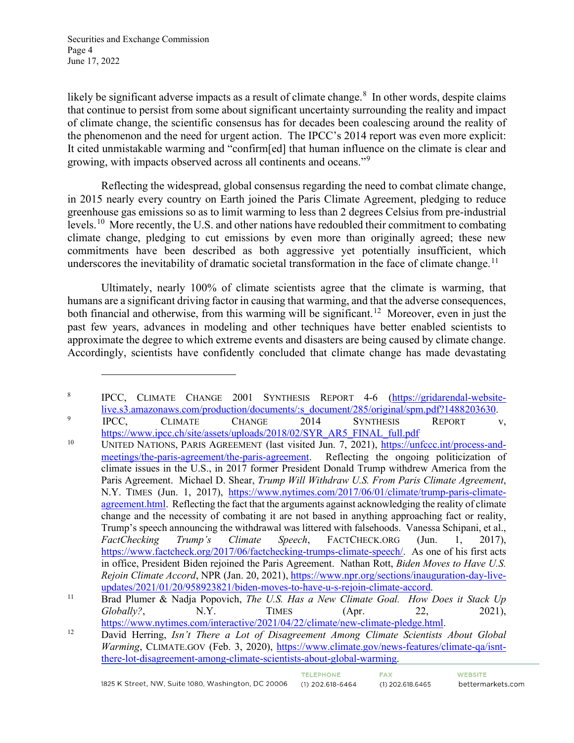Securities and Exchange Commission Page 4 June 17, 2022

likely be significant adverse impacts as a result of climate change. $8\,$  $8\,$  In other words, despite claims that continue to persist from some about significant uncertainty surrounding the reality and impact of climate change, the scientific consensus has for decades been coalescing around the reality of the phenomenon and the need for urgent action. The IPCC's 2014 report was even more explicit: It cited unmistakable warming and "confirm[ed] that human influence on the climate is clear and growing, with impacts observed across all continents and oceans."<sup>[9](#page-3-1)</sup>

Reflecting the widespread, global consensus regarding the need to combat climate change, in 2015 nearly every country on Earth joined the Paris Climate Agreement, pledging to reduce greenhouse gas emissions so as to limit warming to less than 2 degrees Celsius from pre-industrial levels.<sup>10</sup> More recently, the U.S. and other nations have redoubled their commitment to combating climate change, pledging to cut emissions by even more than originally agreed; these new commitments have been described as both aggressive yet potentially insufficient, which underscores the inevitability of dramatic societal transformation in the face of climate change.<sup>[11](#page-3-3)</sup>

Ultimately, nearly 100% of climate scientists agree that the climate is warming, that humans are a significant driving factor in causing that warming, and that the adverse consequences, both financial and otherwise, from this warming will be significant.<sup>12</sup> Moreover, even in just the past few years, advances in modeling and other techniques have better enabled scientists to approximate the degree to which extreme events and disasters are being caused by climate change. Accordingly, scientists have confidently concluded that climate change has made devastating

<span id="page-3-0"></span><sup>&</sup>lt;sup>8</sup> IPCC, CLIMATE CHANGE 2001 SYNTHESIS REPORT 4-6 [\(https://gridarendal-website](https://gridarendal-website-live.s3.amazonaws.com/production/documents/:s_document/285/original/spm.pdf?1488203630)[live.s3.amazonaws.com/production/documents/:s\\_document/285/original/spm.pdf?1488203630.](https://gridarendal-website-live.s3.amazonaws.com/production/documents/:s_document/285/original/spm.pdf?1488203630)<br>
PCC, CLIMATE CHANGE 2014 SYNTHESIS REPORT v,

<span id="page-3-1"></span>https://www.ipcc.ch/site/assets/uploads/2018/02/SYR\_AR5\_FINAL\_full.pdf

<span id="page-3-2"></span><sup>&</sup>lt;sup>10</sup> UNITED NATIONS, PARIS AGREEMENT (last visited Jun. 7, 2021), [https://unfccc.int/process-and](https://unfccc.int/process-and-meetings/the-paris-agreement/the-paris-agreement)[meetings/the-paris-agreement/the-paris-agreement.](https://unfccc.int/process-and-meetings/the-paris-agreement/the-paris-agreement) Reflecting the ongoing politicization of climate issues in the U.S., in 2017 former President Donald Trump withdrew America from the Paris Agreement. Michael D. Shear, *Trump Will Withdraw U.S. From Paris Climate Agreement*, N.Y. TIMES (Jun. 1, 2017), [https://www.nytimes.com/2017/06/01/climate/trump-paris-climate](https://www.nytimes.com/2017/06/01/climate/trump-paris-climate-agreement.html)[agreement.html.](https://www.nytimes.com/2017/06/01/climate/trump-paris-climate-agreement.html) Reflecting the fact that the arguments against acknowledging the reality of climate change and the necessity of combating it are not based in anything approaching fact or reality, Trump's speech announcing the withdrawal was littered with falsehoods. Vanessa Schipani, et al., *FactChecking Trump's Climate Speech*, FACTCHECK.ORG (Jun. 1, 2017), [https://www.factcheck.org/2017/06/factchecking-trumps-climate-speech/.](https://www.factcheck.org/2017/06/factchecking-trumps-climate-speech/) As one of his first acts in office, President Biden rejoined the Paris Agreement. Nathan Rott, *Biden Moves to Have U.S. Rejoin Climate Accord*, NPR (Jan. 20, 2021), [https://www.npr.org/sections/inauguration-day-live-](https://www.npr.org/sections/inauguration-day-live-updates/2021/01/20/958923821/biden-moves-to-have-u-s-rejoin-climate-accord)

<span id="page-3-3"></span>[updates/2021/01/20/958923821/biden-moves-to-have-u-s-rejoin-climate-accord.](https://www.npr.org/sections/inauguration-day-live-updates/2021/01/20/958923821/biden-moves-to-have-u-s-rejoin-climate-accord) 11 Brad Plumer & Nadja Popovich, *The U.S. Has a New Climate Goal. How Does it Stack Up Globally?*, N.Y. TIMES (Apr. 22, 2021),

<span id="page-3-4"></span>[https://www.nytimes.com/interactive/2021/04/22/climate/new-climate-pledge.html.](https://www.nytimes.com/interactive/2021/04/22/climate/new-climate-pledge.html) 12 David Herring, *Isn't There a Lot of Disagreement Among Climate Scientists About Global Warming*, CLIMATE.GOV (Feb. 3, 2020), [https://www.climate.gov/news-features/climate-qa/isnt](https://www.climate.gov/news-features/climate-qa/isnt-there-lot-disagreement-among-climate-scientists-about-global-warming)[there-lot-disagreement-among-climate-scientists-about-global-warming.](https://www.climate.gov/news-features/climate-qa/isnt-there-lot-disagreement-among-climate-scientists-about-global-warming)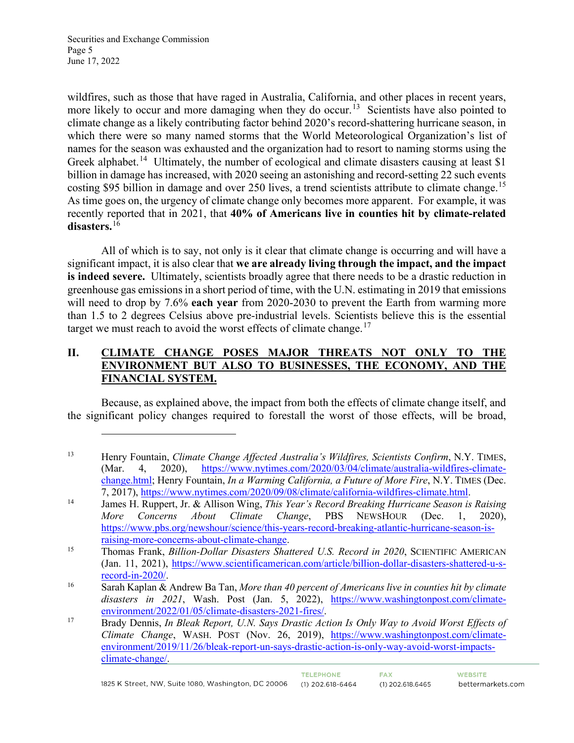Securities and Exchange Commission Page 5 June 17, 2022

wildfires, such as those that have raged in Australia, California, and other places in recent years, more likely to occur and more damaging when they do occur.<sup>[13](#page-4-0)</sup> Scientists have also pointed to climate change as a likely contributing factor behind 2020's record-shattering hurricane season, in which there were so many named storms that the World Meteorological Organization's list of names for the season was exhausted and the organization had to resort to naming storms using the Greek alphabet.<sup>[14](#page-4-1)</sup> Ultimately, the number of ecological and climate disasters causing at least \$1 billion in damage has increased, with 2020 seeing an astonishing and record-setting 22 such events costing \$95 billion in damage and over 250 lives, a trend scientists attribute to climate change.<sup>[15](#page-4-2)</sup> As time goes on, the urgency of climate change only becomes more apparent. For example, it was recently reported that in 2021, that **40% of Americans live in counties hit by climate-related disasters.**[16](#page-4-3)

All of which is to say, not only is it clear that climate change is occurring and will have a significant impact, it is also clear that **we are already living through the impact, and the impact is indeed severe.** Ultimately, scientists broadly agree that there needs to be a drastic reduction in greenhouse gas emissions in a short period of time, with the U.N. estimating in 2019 that emissions will need to drop by 7.6% **each year** from 2020-2030 to prevent the Earth from warming more than 1.5 to 2 degrees Celsius above pre-industrial levels. Scientists believe this is the essential target we must reach to avoid the worst effects of climate change.<sup>[17](#page-4-4)</sup>

## **II. CLIMATE CHANGE POSES MAJOR THREATS NOT ONLY TO THE ENVIRONMENT BUT ALSO TO BUSINESSES, THE ECONOMY, AND THE FINANCIAL SYSTEM.**

Because, as explained above, the impact from both the effects of climate change itself, and the significant policy changes required to forestall the worst of those effects, will be broad,

<span id="page-4-0"></span><sup>13</sup> Henry Fountain, *Climate Change Affected Australia's Wildfires, Scientists Confirm*, N.Y. TIMES, (Mar. 4, 2020), [https://www.nytimes.com/2020/03/04/climate/australia-wildfires-climate](https://www.nytimes.com/2020/03/04/climate/australia-wildfires-climate-change.html)[change.html;](https://www.nytimes.com/2020/03/04/climate/australia-wildfires-climate-change.html) Henry Fountain, *In a Warming California, a Future of More Fire*, N.Y. TIMES (Dec.

<span id="page-4-1"></span><sup>7, 2017),</sup> [https://www.nytimes.com/2020/09/08/climate/california-wildfires-climate.html.](https://www.nytimes.com/2020/09/08/climate/california-wildfires-climate.html) 14 James H. Ruppert, Jr. & Allison Wing, *This Year's Record Breaking Hurricane Season is Raising More Concerns About Climate Change*, PBS NEWSHOUR (Dec. 1, 2020), [https://www.pbs.org/newshour/science/this-years-record-breaking-atlantic-hurricane-season-is](https://www.pbs.org/newshour/science/this-years-record-breaking-atlantic-hurricane-season-is-raising-more-concerns-about-climate-change)[raising-more-concerns-about-climate-change.](https://www.pbs.org/newshour/science/this-years-record-breaking-atlantic-hurricane-season-is-raising-more-concerns-about-climate-change) 15 Thomas Frank, *Billion-Dollar Disasters Shattered U.S. Record in 2020*, SCIENTIFIC AMERICAN

<span id="page-4-2"></span><sup>(</sup>Jan. 11, 2021), [https://www.scientificamerican.com/article/billion-dollar-disasters-shattered-u-s-](https://www.scientificamerican.com/article/billion-dollar-disasters-shattered-u-s-record-in-2020/)

<span id="page-4-3"></span>[record-in-2020/.](https://www.scientificamerican.com/article/billion-dollar-disasters-shattered-u-s-record-in-2020/) 16 Sarah Kaplan & Andrew Ba Tan, *More than 40 percent of Americans live in counties hit by climate disasters in 2021*, Wash. Post (Jan. 5, 2022), [https://www.washingtonpost.com/climate](https://www.washingtonpost.com/climate-environment/2022/01/05/climate-disasters-2021-fires/)[environment/2022/01/05/climate-disasters-2021-fires/.](https://www.washingtonpost.com/climate-environment/2022/01/05/climate-disasters-2021-fires/) 17 Brady Dennis, *In Bleak Report, U.N. Says Drastic Action Is Only Way to Avoid Worst Effects of* 

<span id="page-4-4"></span>*Climate Change*, WASH. POST (Nov. 26, 2019), [https://www.washingtonpost.com/climate](https://www.washingtonpost.com/climate-environment/2019/11/26/bleak-report-un-says-drastic-action-is-only-way-avoid-worst-impacts-climate-change/)[environment/2019/11/26/bleak-report-un-says-drastic-action-is-only-way-avoid-worst-impacts](https://www.washingtonpost.com/climate-environment/2019/11/26/bleak-report-un-says-drastic-action-is-only-way-avoid-worst-impacts-climate-change/)[climate-change/.](https://www.washingtonpost.com/climate-environment/2019/11/26/bleak-report-un-says-drastic-action-is-only-way-avoid-worst-impacts-climate-change/)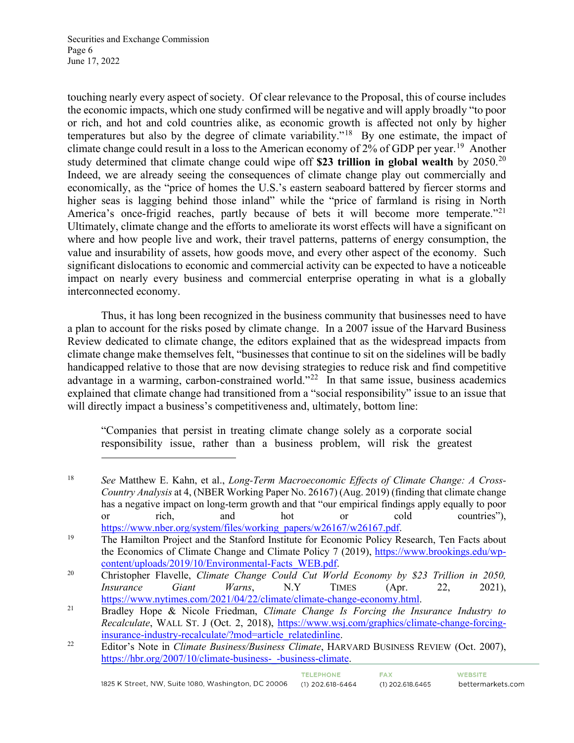Securities and Exchange Commission Page 6 June 17, 2022

touching nearly every aspect of society. Of clear relevance to the Proposal, this of course includes the economic impacts, which one study confirmed will be negative and will apply broadly "to poor or rich, and hot and cold countries alike, as economic growth is affected not only by higher temperatures but also by the degree of climate variability."[18](#page-5-0) By one estimate, the impact of climate change could result in a loss to the American economy of 2% of GDP per year.<sup>[19](#page-5-1)</sup> Another study determined that climate change could wipe off **\$23 trillion in global wealth** by 2050.[20](#page-5-2) Indeed, we are already seeing the consequences of climate change play out commercially and economically, as the "price of homes the U.S.'s eastern seaboard battered by fiercer storms and higher seas is lagging behind those inland" while the "price of farmland is rising in North America's once-frigid reaches, partly because of bets it will become more temperate."<sup>[21](#page-5-3)</sup> Ultimately, climate change and the efforts to ameliorate its worst effects will have a significant on where and how people live and work, their travel patterns, patterns of energy consumption, the value and insurability of assets, how goods move, and every other aspect of the economy. Such significant dislocations to economic and commercial activity can be expected to have a noticeable impact on nearly every business and commercial enterprise operating in what is a globally interconnected economy.

Thus, it has long been recognized in the business community that businesses need to have a plan to account for the risks posed by climate change. In a 2007 issue of the Harvard Business Review dedicated to climate change, the editors explained that as the widespread impacts from climate change make themselves felt, "businesses that continue to sit on the sidelines will be badly handicapped relative to those that are now devising strategies to reduce risk and find competitive advantage in a warming, carbon-constrained world."<sup>22</sup> In that same issue, business academics explained that climate change had transitioned from a "social responsibility" issue to an issue that will directly impact a business's competitiveness and, ultimately, bottom line:

"Companies that persist in treating climate change solely as a corporate social responsibility issue, rather than a business problem, will risk the greatest

<span id="page-5-0"></span>18 *See* Matthew E. Kahn, et al., *Long-Term Macroeconomic Effects of Climate Change: A Cross-Country Analysis* at 4, (NBER Working Paper No. 26167) (Aug. 2019) (finding that climate change has a negative impact on long-term growth and that "our empirical findings apply equally to poor or rich, and hot or cold countries"),

<span id="page-5-1"></span>[https://www.nber.org/system/files/working\\_papers/w26167/w26167.pdf.](https://www.nber.org/system/files/working_papers/w26167/w26167.pdf)<br>
<sup>19</sup> The Hamilton Project and the Stanford Institute for Economic Policy Research, Ten Facts about the Economics of Climate Change and Climate Policy 7 (2019), [https://www.brookings.edu/wp](https://www.brookings.edu/wp-content/uploads/2019/10/Environmental-Facts_WEB.pdf)[content/uploads/2019/10/Environmental-Facts\\_WEB.pdf.](https://www.brookings.edu/wp-content/uploads/2019/10/Environmental-Facts_WEB.pdf) 20 Christopher Flavelle, *Climate Change Could Cut World Economy by \$23 Trillion in 2050,* 

<span id="page-5-2"></span>*Insurance Giant Warns*, N.Y TIMES (Apr. 22, 2021),

<span id="page-5-3"></span>[https://www.nytimes.com/2021/04/22/climate/climate-change-economy.html.](https://www.nytimes.com/2021/04/22/climate/climate-change-economy.html) 21 Bradley Hope & Nicole Friedman, *Climate Change Is Forcing the Insurance Industry to Recalculate*, WALL ST. J (Oct. 2, 2018), [https://www.wsj.com/graphics/climate-change-forcing](https://www.wsj.com/graphics/climate-change-forcing-insurance-industry-recalculate/?mod=article_relatedinline)[insurance-industry-recalculate/?mod=article\\_relatedinline.](https://www.wsj.com/graphics/climate-change-forcing-insurance-industry-recalculate/?mod=article_relatedinline) 22 Editor's Note in *Climate Business/Business Climate*, HARVARD BUSINESS REVIEW (Oct. 2007),

<span id="page-5-4"></span>https://hbr.org/2007/10/climate-business--business-climate.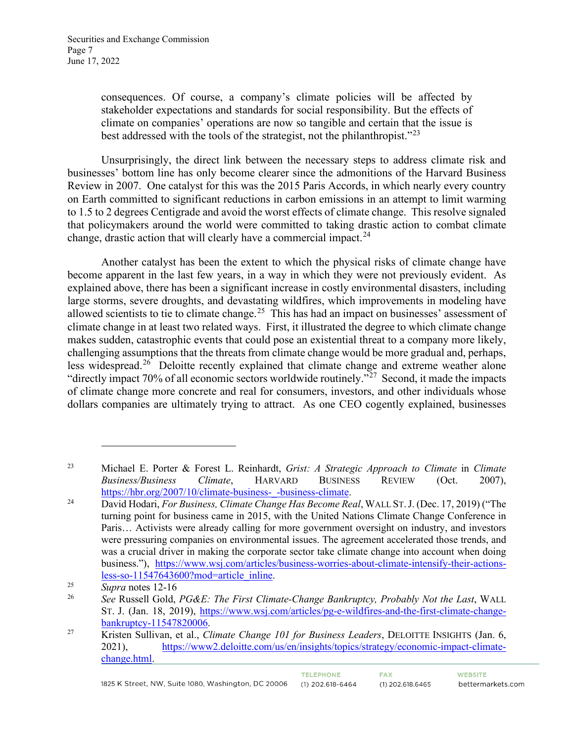consequences. Of course, a company's climate policies will be affected by stakeholder expectations and standards for social responsibility. But the effects of climate on companies' operations are now so tangible and certain that the issue is best addressed with the tools of the strategist, not the philanthropist."<sup>[23](#page-6-0)</sup>

Unsurprisingly, the direct link between the necessary steps to address climate risk and businesses' bottom line has only become clearer since the admonitions of the Harvard Business Review in 2007. One catalyst for this was the 2015 Paris Accords, in which nearly every country on Earth committed to significant reductions in carbon emissions in an attempt to limit warming to 1.5 to 2 degrees Centigrade and avoid the worst effects of climate change. This resolve signaled that policymakers around the world were committed to taking drastic action to combat climate change, drastic action that will clearly have a commercial impact. $24$ 

Another catalyst has been the extent to which the physical risks of climate change have become apparent in the last few years, in a way in which they were not previously evident. As explained above, there has been a significant increase in costly environmental disasters, including large storms, severe droughts, and devastating wildfires, which improvements in modeling have allowed scientists to tie to climate change.<sup>25</sup> This has had an impact on businesses' assessment of climate change in at least two related ways. First, it illustrated the degree to which climate change makes sudden, catastrophic events that could pose an existential threat to a company more likely, challenging assumptions that the threats from climate change would be more gradual and, perhaps, less widespread.<sup>26</sup> Deloitte recently explained that climate change and extreme weather alone "directly impact 70% of all economic sectors worldwide routinely."<sup> $27$ </sup> Second, it made the impacts of climate change more concrete and real for consumers, investors, and other individuals whose dollars companies are ultimately trying to attract. As one CEO cogently explained, businesses

TELEPHONE.

<span id="page-6-0"></span><sup>23</sup> Michael E. Porter & Forest L. Reinhardt, *Grist: A Strategic Approach to Climate* in *Climate Business/Business Climate*, HARVARD BUSINESS REVIEW (Oct. 2007),

<span id="page-6-1"></span>[https://hbr.org/2007/10/climate-business-\\_-business-climate.](https://hbr.org/2007/10/climate-business-_-business-climate) 24 David Hodari, *For Business, Climate Change Has Become Real*, WALL ST.J. (Dec. 17, 2019) ("The turning point for business came in 2015, with the United Nations Climate Change Conference in Paris… Activists were already calling for more government oversight on industry, and investors were pressuring companies on environmental issues. The agreement accelerated those trends, and was a crucial driver in making the corporate sector take climate change into account when doing business."), [https://www.wsj.com/articles/business-worries-about-climate-intensify-their-actions](https://www.wsj.com/articles/business-worries-about-climate-intensify-their-actions-less-so-11547643600?mod=article_inline)[less-so-11547643600?mod=article\\_inline.](https://www.wsj.com/articles/business-worries-about-climate-intensify-their-actions-less-so-11547643600?mod=article_inline) 25 *Supra* notes 12-16

<span id="page-6-2"></span>

<span id="page-6-3"></span><sup>26</sup> *See* Russell Gold, *PG&E: The First Climate-Change Bankruptcy, Probably Not the Last*, WALL ST. J. (Jan. 18, 2019), [https://www.wsj.com/articles/pg-e-wildfires-and-the-first-climate-change](https://www.wsj.com/articles/pg-e-wildfires-and-the-first-climate-change-bankruptcy-11547820006)[bankruptcy-11547820006.](https://www.wsj.com/articles/pg-e-wildfires-and-the-first-climate-change-bankruptcy-11547820006) 27 Kristen Sullivan, et al., *Climate Change 101 for Business Leaders*, DELOITTE INSIGHTS (Jan. 6,

<span id="page-6-4"></span><sup>2021),</sup> [https://www2.deloitte.com/us/en/insights/topics/strategy/economic-impact-climate](https://www2.deloitte.com/us/en/insights/topics/strategy/economic-impact-climate-change.html)[change.html.](https://www2.deloitte.com/us/en/insights/topics/strategy/economic-impact-climate-change.html)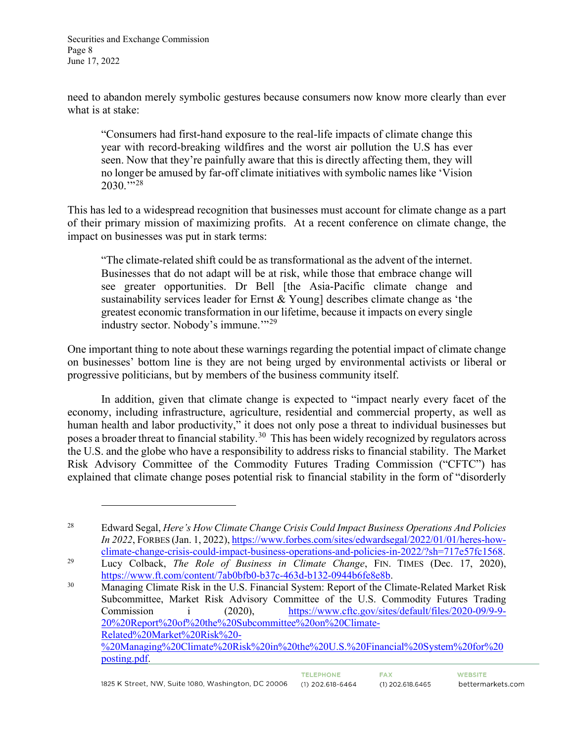Securities and Exchange Commission Page 8 June 17, 2022

need to abandon merely symbolic gestures because consumers now know more clearly than ever what is at stake:

"Consumers had first-hand exposure to the real-life impacts of climate change this year with record-breaking wildfires and the worst air pollution the U.S has ever seen. Now that they're painfully aware that this is directly affecting them, they will no longer be amused by far-off climate initiatives with symbolic names like 'Vision  $2030.^{\dots 28}$  $2030.^{\dots 28}$  $2030.^{\dots 28}$ 

This has led to a widespread recognition that businesses must account for climate change as a part of their primary mission of maximizing profits. At a recent conference on climate change, the impact on businesses was put in stark terms:

"The climate-related shift could be as transformational as the advent of the internet. Businesses that do not adapt will be at risk, while those that embrace change will see greater opportunities. Dr Bell [the Asia-Pacific climate change and sustainability services leader for Ernst & Young] describes climate change as 'the greatest economic transformation in our lifetime, because it impacts on every single industry sector. Nobody's immune."<sup>[29](#page-7-1)</sup>

One important thing to note about these warnings regarding the potential impact of climate change on businesses' bottom line is they are not being urged by environmental activists or liberal or progressive politicians, but by members of the business community itself.

In addition, given that climate change is expected to "impact nearly every facet of the economy, including infrastructure, agriculture, residential and commercial property, as well as human health and labor productivity," it does not only pose a threat to individual businesses but poses a broader threat to financial stability.[30](#page-7-2) This has been widely recognized by regulators across the U.S. and the globe who have a responsibility to address risks to financial stability. The Market Risk Advisory Committee of the Commodity Futures Trading Commission ("CFTC") has explained that climate change poses potential risk to financial stability in the form of "disorderly

<span id="page-7-0"></span><sup>28</sup> Edward Segal, *Here's How Climate Change Crisis Could Impact Business Operations And Policies In 2022*, FORBES (Jan. 1, 2022), https://www.forbes.com/sites/edwardsegal/2022/01/01/heres-how-<br>climate-change-crisis-could-impact-business-operations-and-policies-in-2022/?sh=717e57fc1568.

<span id="page-7-1"></span><sup>&</sup>lt;sup>29</sup> Lucy Colback, *The Role of Business in Climate Change*, FIN. TIMES (Dec. 17, 2020), [https://www.ft.com/content/7ab0bfb0-b37c-463d-b132-0944b6fe8e8b.](https://www.ft.com/content/7ab0bfb0-b37c-463d-b132-0944b6fe8e8b)<br>
Managing Climate Risk in the U.S. Financial System: Report of the Climate-Related Market Risk

<span id="page-7-2"></span>Subcommittee, Market Risk Advisory Committee of the U.S. Commodity Futures Trading Commission i (2020), [https://www.cftc.gov/sites/default/files/2020-09/9-9-](https://www.cftc.gov/sites/default/files/2020-09/9-9-20%20Report%20of%20the%20Subcommittee%20on%20Climate-Related%20Market%20Risk%20-%20Managing%20Climate%20Risk%20in%20the%20U.S.%20Financial%20System%20for%20posting.pdf) [20%20Report%20of%20the%20Subcommittee%20on%20Climate-](https://www.cftc.gov/sites/default/files/2020-09/9-9-20%20Report%20of%20the%20Subcommittee%20on%20Climate-Related%20Market%20Risk%20-%20Managing%20Climate%20Risk%20in%20the%20U.S.%20Financial%20System%20for%20posting.pdf)[Related%20Market%20Risk%20-](https://www.cftc.gov/sites/default/files/2020-09/9-9-20%20Report%20of%20the%20Subcommittee%20on%20Climate-Related%20Market%20Risk%20-%20Managing%20Climate%20Risk%20in%20the%20U.S.%20Financial%20System%20for%20posting.pdf) [%20Managing%20Climate%20Risk%20in%20the%20U.S.%20Financial%20System%20for%20](https://www.cftc.gov/sites/default/files/2020-09/9-9-20%20Report%20of%20the%20Subcommittee%20on%20Climate-Related%20Market%20Risk%20-%20Managing%20Climate%20Risk%20in%20the%20U.S.%20Financial%20System%20for%20posting.pdf) [posting.pdf.](https://www.cftc.gov/sites/default/files/2020-09/9-9-20%20Report%20of%20the%20Subcommittee%20on%20Climate-Related%20Market%20Risk%20-%20Managing%20Climate%20Risk%20in%20the%20U.S.%20Financial%20System%20for%20posting.pdf)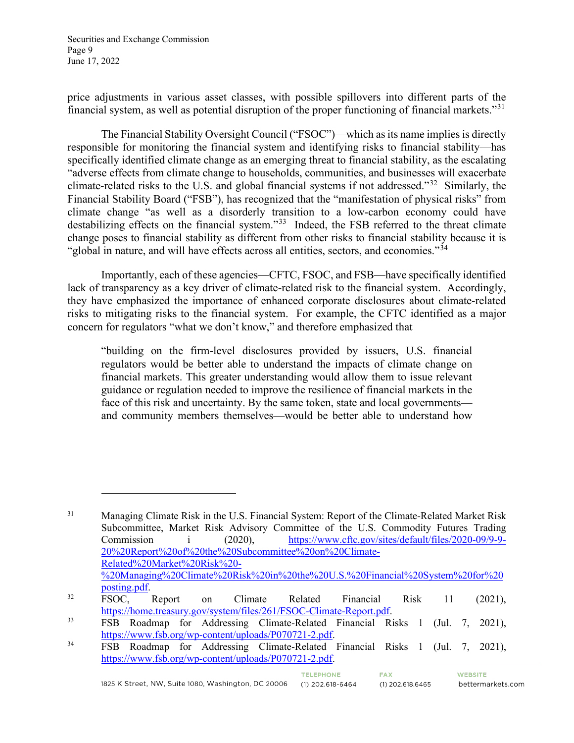Securities and Exchange Commission Page 9 June 17, 2022

price adjustments in various asset classes, with possible spillovers into different parts of the financial system, as well as potential disruption of the proper functioning of financial markets."[31](#page-8-0)

The Financial Stability Oversight Council ("FSOC")—which as its name implies is directly responsible for monitoring the financial system and identifying risks to financial stability—has specifically identified climate change as an emerging threat to financial stability, as the escalating "adverse effects from climate change to households, communities, and businesses will exacerbate climate-related risks to the U.S. and global financial systems if not addressed."[32](#page-8-1) Similarly, the Financial Stability Board ("FSB"), has recognized that the "manifestation of physical risks" from climate change "as well as a disorderly transition to a low-carbon economy could have destabilizing effects on the financial system."<sup>33</sup> Indeed, the FSB referred to the threat climate change poses to financial stability as different from other risks to financial stability because it is "global in nature, and will have effects across all entities, sectors, and economies."<sup>34</sup>

Importantly, each of these agencies—CFTC, FSOC, and FSB—have specifically identified lack of transparency as a key driver of climate-related risk to the financial system. Accordingly, they have emphasized the importance of enhanced corporate disclosures about climate-related risks to mitigating risks to the financial system. For example, the CFTC identified as a major concern for regulators "what we don't know," and therefore emphasized that

"building on the firm-level disclosures provided by issuers, U.S. financial regulators would be better able to understand the impacts of climate change on financial markets. This greater understanding would allow them to issue relevant guidance or regulation needed to improve the resilience of financial markets in the face of this risk and uncertainty. By the same token, state and local governments and community members themselves—would be better able to understand how

TELEPHONE.

**FAX** 

 $(1)$  202.618.6465

<span id="page-8-0"></span><sup>&</sup>lt;sup>31</sup> Managing Climate Risk in the U.S. Financial System: Report of the Climate-Related Market Risk Subcommittee, Market Risk Advisory Committee of the U.S. Commodity Futures Trading Commission i (2020), [https://www.cftc.gov/sites/default/files/2020-09/9-9-](https://www.cftc.gov/sites/default/files/2020-09/9-9-20%20Report%20of%20the%20Subcommittee%20on%20Climate-Related%20Market%20Risk%20-%20Managing%20Climate%20Risk%20in%20the%20U.S.%20Financial%20System%20for%20posting.pdf) [20%20Report%20of%20the%20Subcommittee%20on%20Climate-](https://www.cftc.gov/sites/default/files/2020-09/9-9-20%20Report%20of%20the%20Subcommittee%20on%20Climate-Related%20Market%20Risk%20-%20Managing%20Climate%20Risk%20in%20the%20U.S.%20Financial%20System%20for%20posting.pdf)[Related%20Market%20Risk%20-](https://www.cftc.gov/sites/default/files/2020-09/9-9-20%20Report%20of%20the%20Subcommittee%20on%20Climate-Related%20Market%20Risk%20-%20Managing%20Climate%20Risk%20in%20the%20U.S.%20Financial%20System%20for%20posting.pdf) [%20Managing%20Climate%20Risk%20in%20the%20U.S.%20Financial%20System%20for%20](https://www.cftc.gov/sites/default/files/2020-09/9-9-20%20Report%20of%20the%20Subcommittee%20on%20Climate-Related%20Market%20Risk%20-%20Managing%20Climate%20Risk%20in%20the%20U.S.%20Financial%20System%20for%20posting.pdf)

<span id="page-8-1"></span>[posting.pdf.](https://www.cftc.gov/sites/default/files/2020-09/9-9-20%20Report%20of%20the%20Subcommittee%20on%20Climate-Related%20Market%20Risk%20-%20Managing%20Climate%20Risk%20in%20the%20U.S.%20Financial%20System%20for%20posting.pdf)<br><sup>32</sup> FSOC, Report on Climate Related Financial Risk 11 (2021), [https://home.treasury.gov/system/files/261/FSOC-Climate-Report.pdf.](https://home.treasury.gov/system/files/261/FSOC-Climate-Report.pdf)<br>
FSB Roadmap for Addressing Climate-Related Financial Risks 1 (Jul. 7, 2021),

<span id="page-8-2"></span>[https://www.fsb.org/wp-content/uploads/P070721-2.pdf.](https://www.fsb.org/wp-content/uploads/P070721-2.pdf)<br>
FSB Roadmap for Addressing Climate-Related Financial Risks 1 (Jul. 7, 2021),

<span id="page-8-3"></span>[https://www.fsb.org/wp-content/uploads/P070721-2.pdf.](https://www.fsb.org/wp-content/uploads/P070721-2.pdf)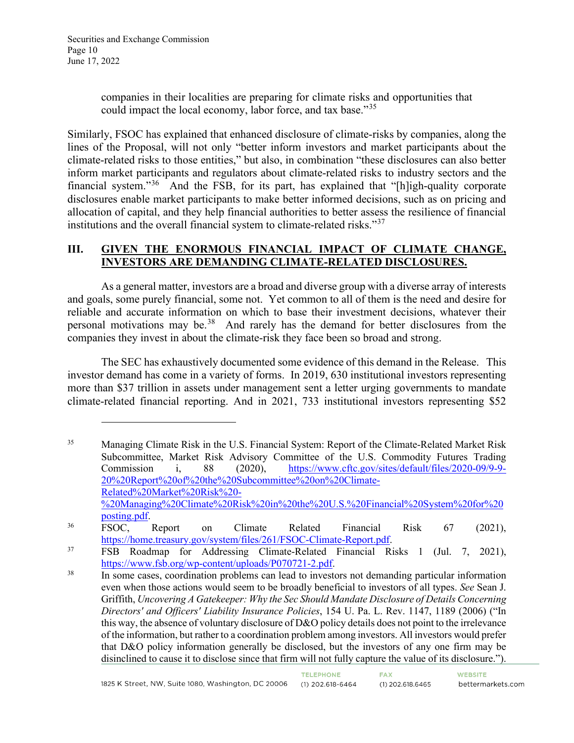companies in their localities are preparing for climate risks and opportunities that could impact the local economy, labor force, and tax base."<sup>[35](#page-9-0)</sup>

Similarly, FSOC has explained that enhanced disclosure of climate-risks by companies, along the lines of the Proposal, will not only "better inform investors and market participants about the climate-related risks to those entities," but also, in combination "these disclosures can also better inform market participants and regulators about climate-related risks to industry sectors and the financial system."[36](#page-9-1) And the FSB, for its part, has explained that "[h]igh-quality corporate disclosures enable market participants to make better informed decisions, such as on pricing and allocation of capital, and they help financial authorities to better assess the resilience of financial institutions and the overall financial system to climate-related risks."<sup>[37](#page-9-2)</sup>

## **III. GIVEN THE ENORMOUS FINANCIAL IMPACT OF CLIMATE CHANGE, INVESTORS ARE DEMANDING CLIMATE-RELATED DISCLOSURES.**

As a general matter, investors are a broad and diverse group with a diverse array of interests and goals, some purely financial, some not. Yet common to all of them is the need and desire for reliable and accurate information on which to base their investment decisions, whatever their personal motivations may be.<sup>38</sup> And rarely has the demand for better disclosures from the companies they invest in about the climate-risk they face been so broad and strong.

The SEC has exhaustively documented some evidence of this demand in the Release. This investor demand has come in a variety of forms. In 2019, 630 institutional investors representing more than \$37 trillion in assets under management sent a letter urging governments to mandate climate-related financial reporting. And in 2021, 733 institutional investors representing \$52

<span id="page-9-0"></span><sup>&</sup>lt;sup>35</sup> Managing Climate Risk in the U.S. Financial System: Report of the Climate-Related Market Risk Subcommittee, Market Risk Advisory Committee of the U.S. Commodity Futures Trading Commission i, 88 (2020), [https://www.cftc.gov/sites/default/files/2020-09/9-9-](https://www.cftc.gov/sites/default/files/2020-09/9-9-20%20Report%20of%20the%20Subcommittee%20on%20Climate-Related%20Market%20Risk%20-%20Managing%20Climate%20Risk%20in%20the%20U.S.%20Financial%20System%20for%20posting.pdf) [20%20Report%20of%20the%20Subcommittee%20on%20Climate-](https://www.cftc.gov/sites/default/files/2020-09/9-9-20%20Report%20of%20the%20Subcommittee%20on%20Climate-Related%20Market%20Risk%20-%20Managing%20Climate%20Risk%20in%20the%20U.S.%20Financial%20System%20for%20posting.pdf)[Related%20Market%20Risk%20-](https://www.cftc.gov/sites/default/files/2020-09/9-9-20%20Report%20of%20the%20Subcommittee%20on%20Climate-Related%20Market%20Risk%20-%20Managing%20Climate%20Risk%20in%20the%20U.S.%20Financial%20System%20for%20posting.pdf) [%20Managing%20Climate%20Risk%20in%20the%20U.S.%20Financial%20System%20for%20](https://www.cftc.gov/sites/default/files/2020-09/9-9-20%20Report%20of%20the%20Subcommittee%20on%20Climate-Related%20Market%20Risk%20-%20Managing%20Climate%20Risk%20in%20the%20U.S.%20Financial%20System%20for%20posting.pdf)

<span id="page-9-1"></span>[posting.pdf.](https://www.cftc.gov/sites/default/files/2020-09/9-9-20%20Report%20of%20the%20Subcommittee%20on%20Climate-Related%20Market%20Risk%20-%20Managing%20Climate%20Risk%20in%20the%20U.S.%20Financial%20System%20for%20posting.pdf)<br><sup>36</sup> FSOC, Report on Climate Related Financial Risk 67 (2021), [https://home.treasury.gov/system/files/261/FSOC-Climate-Report.pdf.](https://home.treasury.gov/system/files/261/FSOC-Climate-Report.pdf)<br>
FSB Roadmap for Addressing Climate-Related Financial Risks 1 (Jul. 7, 2021),

<span id="page-9-2"></span>[https://www.fsb.org/wp-content/uploads/P070721-2.pdf.](https://www.fsb.org/wp-content/uploads/P070721-2.pdf)<br>
In some cases, coordination problems can lead to investors not demanding particular information

<span id="page-9-3"></span>even when those actions would seem to be broadly beneficial to investors of all types. *See* Sean J. Griffith, *Uncovering A Gatekeeper: Why the Sec Should Mandate Disclosure of Details Concerning Directors' and Officers' Liability Insurance Policies*, 154 U. Pa. L. Rev. 1147, 1189 (2006) ("In this way, the absence of voluntary disclosure of D&O policy details does not point to the irrelevance of the information, but rather to a coordination problem among investors. All investors would prefer that D&O policy information generally be disclosed, but the investors of any one firm may be disinclined to cause it to disclose since that firm will not fully capture the value of its disclosure.").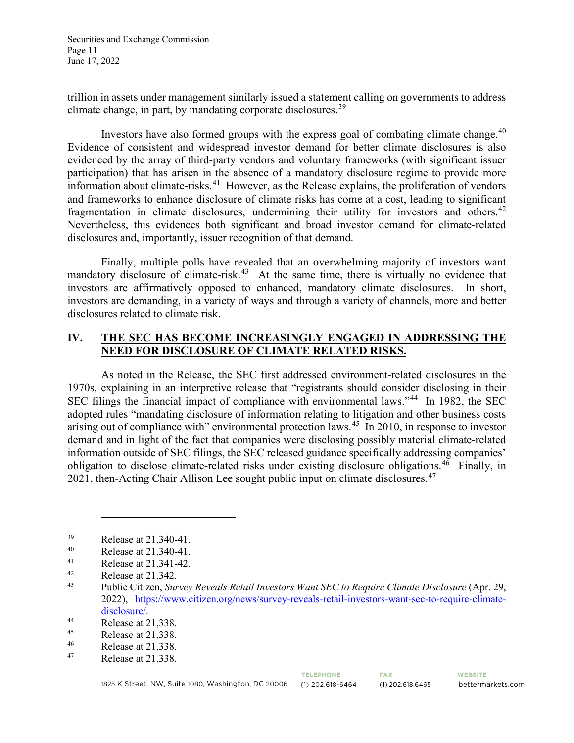Securities and Exchange Commission Page 11 June 17, 2022

trillion in assets under management similarly issued a statement calling on governments to address climate change, in part, by mandating corporate disclosures.<sup>[39](#page-10-0)</sup>

Investors have also formed groups with the express goal of combating climate change. $40$ Evidence of consistent and widespread investor demand for better climate disclosures is also evidenced by the array of third-party vendors and voluntary frameworks (with significant issuer participation) that has arisen in the absence of a mandatory disclosure regime to provide more information about climate-risks.[41](#page-10-2) However, as the Release explains, the proliferation of vendors and frameworks to enhance disclosure of climate risks has come at a cost, leading to significant fragmentation in climate disclosures, undermining their utility for investors and others.<sup>[42](#page-10-3)</sup> Nevertheless, this evidences both significant and broad investor demand for climate-related disclosures and, importantly, issuer recognition of that demand.

Finally, multiple polls have revealed that an overwhelming majority of investors want mandatory disclosure of climate-risk.<sup>43</sup> At the same time, there is virtually no evidence that investors are affirmatively opposed to enhanced, mandatory climate disclosures. In short, investors are demanding, in a variety of ways and through a variety of channels, more and better disclosures related to climate risk.

### **IV. THE SEC HAS BECOME INCREASINGLY ENGAGED IN ADDRESSING THE NEED FOR DISCLOSURE OF CLIMATE RELATED RISKS.**

As noted in the Release, the SEC first addressed environment-related disclosures in the 1970s, explaining in an interpretive release that "registrants should consider disclosing in their SEC filings the financial impact of compliance with environmental laws."[44](#page-10-5) In 1982, the SEC adopted rules "mandating disclosure of information relating to litigation and other business costs arising out of compliance with" environmental protection laws.<sup>45</sup> In 2010, in response to investor demand and in light of the fact that companies were disclosing possibly material climate-related information outside of SEC filings, the SEC released guidance specifically addressing companies' obligation to disclose climate-related risks under existing disclosure obligations.<sup>46</sup> Finally, in 2021, then-Acting Chair Allison Lee sought public input on climate disclosures.<sup>[47](#page-10-8)</sup>

<span id="page-10-0"></span> $R$ elease at 21,340-41.<br><sup>40</sup> Release at 21,340,41

<span id="page-10-1"></span><sup>40</sup> Release at 21,340-41.

<span id="page-10-2"></span><sup>&</sup>lt;sup>41</sup> Release at 21,341-42.

<span id="page-10-4"></span><span id="page-10-3"></span><sup>&</sup>lt;sup>42</sup> Release at 21,342.<br><sup>43</sup> Public Citizen, *Sur* 

<sup>43</sup> Public Citizen, *Survey Reveals Retail Investors Want SEC to Require Climate Disclosure* (Apr. 29, 2022), [https://www.citizen.org/news/survey-reveals-retail-investors-want-sec-to-require-climate-](https://www.citizen.org/news/survey-reveals-retail-investors-want-sec-to-require-climate-disclosure/)

<span id="page-10-5"></span> $\frac{\text{disclosure/}}{44}$ <br>Release at 21,338.<br>Pelegge at 21,338.

<span id="page-10-6"></span><sup>45</sup> Release at 21,338.<br> $^{46}$  Release at 21,338.

<span id="page-10-8"></span><span id="page-10-7"></span> $^{46}$  Release at 21,338.<br>
Release at 21.338

Release at 21,338.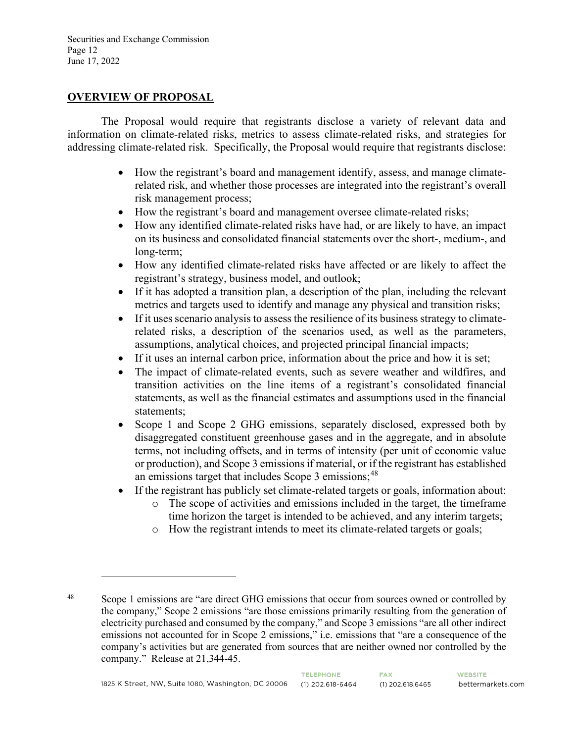Securities and Exchange Commission Page 12 June 17, 2022

#### **OVERVIEW OF PROPOSAL**

The Proposal would require that registrants disclose a variety of relevant data and information on climate-related risks, metrics to assess climate-related risks, and strategies for addressing climate-related risk. Specifically, the Proposal would require that registrants disclose:

- How the registrant's board and management identify, assess, and manage climaterelated risk, and whether those processes are integrated into the registrant's overall risk management process;
- How the registrant's board and management oversee climate-related risks;
- How any identified climate-related risks have had, or are likely to have, an impact on its business and consolidated financial statements over the short-, medium-, and long-term;
- How any identified climate-related risks have affected or are likely to affect the registrant's strategy, business model, and outlook;
- If it has adopted a transition plan, a description of the plan, including the relevant metrics and targets used to identify and manage any physical and transition risks;
- If it uses scenario analysis to assess the resilience of its business strategy to climaterelated risks, a description of the scenarios used, as well as the parameters, assumptions, analytical choices, and projected principal financial impacts;
- If it uses an internal carbon price, information about the price and how it is set;
- The impact of climate-related events, such as severe weather and wildfires, and transition activities on the line items of a registrant's consolidated financial statements, as well as the financial estimates and assumptions used in the financial statements;
- Scope 1 and Scope 2 GHG emissions, separately disclosed, expressed both by disaggregated constituent greenhouse gases and in the aggregate, and in absolute terms, not including offsets, and in terms of intensity (per unit of economic value or production), and Scope 3 emissions if material, or if the registrant has established an emissions target that includes Scope 3 emissions;  $48$
- If the registrant has publicly set climate-related targets or goals, information about:
	- o The scope of activities and emissions included in the target, the timeframe time horizon the target is intended to be achieved, and any interim targets;
	- o How the registrant intends to meet its climate-related targets or goals;

<span id="page-11-0"></span><sup>&</sup>lt;sup>48</sup> Scope 1 emissions are "are direct GHG emissions that occur from sources owned or controlled by the company," Scope 2 emissions "are those emissions primarily resulting from the generation of electricity purchased and consumed by the company," and Scope 3 emissions "are all other indirect emissions not accounted for in Scope 2 emissions," i.e. emissions that "are a consequence of the company's activities but are generated from sources that are neither owned nor controlled by the company." Release at 21,344-45.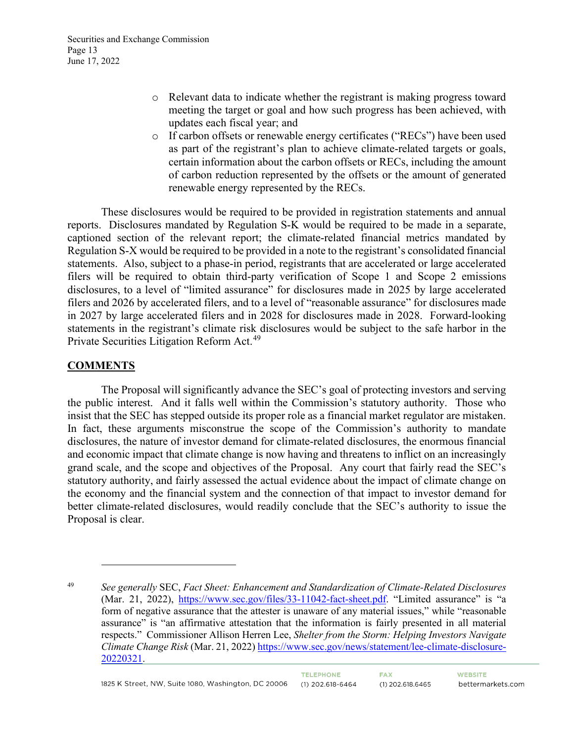- o Relevant data to indicate whether the registrant is making progress toward meeting the target or goal and how such progress has been achieved, with updates each fiscal year; and
- o If carbon offsets or renewable energy certificates ("RECs") have been used as part of the registrant's plan to achieve climate-related targets or goals, certain information about the carbon offsets or RECs, including the amount of carbon reduction represented by the offsets or the amount of generated renewable energy represented by the RECs.

These disclosures would be required to be provided in registration statements and annual reports. Disclosures mandated by Regulation S-K would be required to be made in a separate, captioned section of the relevant report; the climate-related financial metrics mandated by Regulation S-X would be required to be provided in a note to the registrant's consolidated financial statements. Also, subject to a phase-in period, registrants that are accelerated or large accelerated filers will be required to obtain third-party verification of Scope 1 and Scope 2 emissions disclosures, to a level of "limited assurance" for disclosures made in 2025 by large accelerated filers and 2026 by accelerated filers, and to a level of "reasonable assurance" for disclosures made in 2027 by large accelerated filers and in 2028 for disclosures made in 2028. Forward-looking statements in the registrant's climate risk disclosures would be subject to the safe harbor in the Private Securities Litigation Reform Act.<sup>[49](#page-12-0)</sup>

#### **COMMENTS**

The Proposal will significantly advance the SEC's goal of protecting investors and serving the public interest. And it falls well within the Commission's statutory authority. Those who insist that the SEC has stepped outside its proper role as a financial market regulator are mistaken. In fact, these arguments misconstrue the scope of the Commission's authority to mandate disclosures, the nature of investor demand for climate-related disclosures, the enormous financial and economic impact that climate change is now having and threatens to inflict on an increasingly grand scale, and the scope and objectives of the Proposal. Any court that fairly read the SEC's statutory authority, and fairly assessed the actual evidence about the impact of climate change on the economy and the financial system and the connection of that impact to investor demand for better climate-related disclosures, would readily conclude that the SEC's authority to issue the Proposal is clear.

<span id="page-12-0"></span><sup>49</sup> *See generally* SEC, *Fact Sheet: Enhancement and Standardization of Climate-Related Disclosures* (Mar. 21, 2022), [https://www.sec.gov/files/33-11042-fact-sheet.pdf.](https://www.sec.gov/files/33-11042-fact-sheet.pdf) "Limited assurance" is "a form of negative assurance that the attester is unaware of any material issues," while "reasonable assurance" is "an affirmative attestation that the information is fairly presented in all material respects." Commissioner Allison Herren Lee, *Shelter from the Storm: Helping Investors Navigate Climate Change Risk* (Mar. 21, 2022) [https://www.sec.gov/news/statement/lee-climate-disclosure-](https://www.sec.gov/news/statement/lee-climate-disclosure-20220321)[20220321.](https://www.sec.gov/news/statement/lee-climate-disclosure-20220321)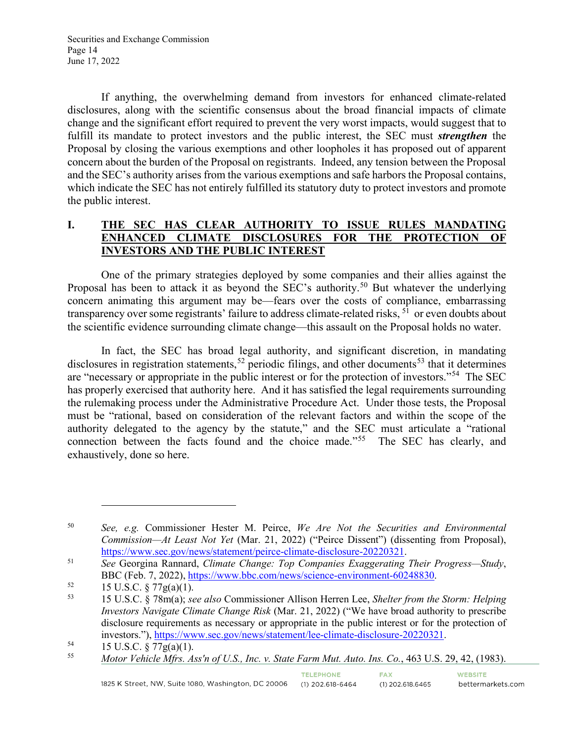If anything, the overwhelming demand from investors for enhanced climate-related disclosures, along with the scientific consensus about the broad financial impacts of climate change and the significant effort required to prevent the very worst impacts, would suggest that to fulfill its mandate to protect investors and the public interest, the SEC must *strengthen* the Proposal by closing the various exemptions and other loopholes it has proposed out of apparent concern about the burden of the Proposal on registrants. Indeed, any tension between the Proposal and the SEC's authority arises from the various exemptions and safe harbors the Proposal contains, which indicate the SEC has not entirely fulfilled its statutory duty to protect investors and promote the public interest.

## **I. THE SEC HAS CLEAR AUTHORITY TO ISSUE RULES MANDATING ENHANCED CLIMATE DISCLOSURES FOR THE PROTECTION OF INVESTORS AND THE PUBLIC INTEREST**

One of the primary strategies deployed by some companies and their allies against the Proposal has been to attack it as beyond the SEC's authority.<sup>[50](#page-13-0)</sup> But whatever the underlying concern animating this argument may be—fears over the costs of compliance, embarrassing transparency over some registrants' failure to address climate-related risks, <sup>[51](#page-13-1)</sup> or even doubts about the scientific evidence surrounding climate change—this assault on the Proposal holds no water.

In fact, the SEC has broad legal authority, and significant discretion, in mandating disclosures in registration statements,<sup>[52](#page-13-2)</sup> periodic filings, and other documents<sup>[53](#page-13-3)</sup> that it determines are "necessary or appropriate in the public interest or for the protection of investors."[54](#page-13-4) The SEC has properly exercised that authority here. And it has satisfied the legal requirements surrounding the rulemaking process under the Administrative Procedure Act. Under those tests, the Proposal must be "rational, based on consideration of the relevant factors and within the scope of the authority delegated to the agency by the statute," and the SEC must articulate a "rational connection between the facts found and the choice made."[55](#page-13-5) The SEC has clearly, and exhaustively, done so here.

**FAX** 

 $(1)$  202.618.6465

<span id="page-13-0"></span><sup>50</sup> *See, e.g.* Commissioner Hester M. Peirce, *We Are Not the Securities and Environmental Commission—At Least Not Yet* (Mar. 21, 2022) ("Peirce Dissent") (dissenting from Proposal), [https://www.sec.gov/news/statement/peirce-climate-disclosure-20220321.](https://www.sec.gov/news/statement/peirce-climate-disclosure-20220321) 51 *See* Georgina Rannard, *Climate Change: Top Companies Exaggerating Their Progress—Study*,

<span id="page-13-1"></span>BBC (Feb. 7, 2022), <u>https://www.bbc.com/news/science-environment-60248830</u>.<br>
<sup>52</sup> 15 U.S.C. § 77g(a)(1).<br>
<sup>53</sup> 15 U.S.C. <sup>§ 78</sup>m(a); *see also* Commissioner Allison Herren Lee, Shelter from the

<span id="page-13-3"></span><span id="page-13-2"></span><sup>53 15</sup> U.S.C. § 78m(a); *see also* Commissioner Allison Herren Lee, *Shelter from the Storm: Helping Investors Navigate Climate Change Risk* (Mar. 21, 2022) ("We have broad authority to prescribe disclosure requirements as necessary or appropriate in the public interest or for the protection of investors."), [https://www.sec.gov/news/statement/lee-climate-disclosure-20220321.](https://www.sec.gov/news/statement/lee-climate-disclosure-20220321)<br>
15 U.S.C. § 77g(a)(1).<br>
Motor Vehicle Mfrs. Ass'n of U.S. Inc. y. State Farm Mut. 4uto. Ins. Co., 463 U.S.

<span id="page-13-4"></span>

<span id="page-13-5"></span><sup>55</sup> *Motor Vehicle Mfrs. Ass'n of U.S., Inc. v. State Farm Mut. Auto. Ins. Co.*, 463 U.S. 29, 42, (1983).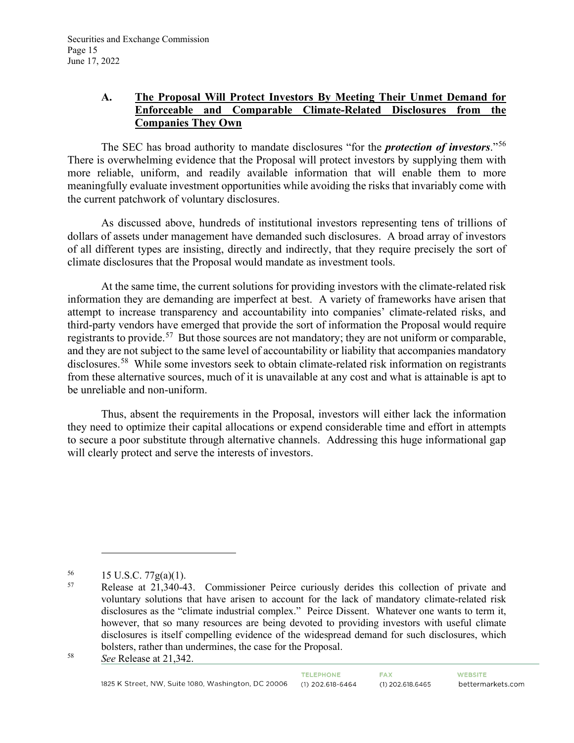# **A. The Proposal Will Protect Investors By Meeting Their Unmet Demand for Enforceable and Comparable Climate-Related Disclosures from the Companies They Own**

The SEC has broad authority to mandate disclosures "for the *protection of investors*."[56](#page-14-0) There is overwhelming evidence that the Proposal will protect investors by supplying them with more reliable, uniform, and readily available information that will enable them to more meaningfully evaluate investment opportunities while avoiding the risks that invariably come with the current patchwork of voluntary disclosures.

As discussed above, hundreds of institutional investors representing tens of trillions of dollars of assets under management have demanded such disclosures. A broad array of investors of all different types are insisting, directly and indirectly, that they require precisely the sort of climate disclosures that the Proposal would mandate as investment tools.

At the same time, the current solutions for providing investors with the climate-related risk information they are demanding are imperfect at best. A variety of frameworks have arisen that attempt to increase transparency and accountability into companies' climate-related risks, and third-party vendors have emerged that provide the sort of information the Proposal would require registrants to provide.<sup>57</sup> But those sources are not mandatory; they are not uniform or comparable, and they are not subject to the same level of accountability or liability that accompanies mandatory disclosures.<sup>[58](#page-14-2)</sup> While some investors seek to obtain climate-related risk information on registrants from these alternative sources, much of it is unavailable at any cost and what is attainable is apt to be unreliable and non-uniform.

Thus, absent the requirements in the Proposal, investors will either lack the information they need to optimize their capital allocations or expend considerable time and effort in attempts to secure a poor substitute through alternative channels. Addressing this huge informational gap will clearly protect and serve the interests of investors.

<span id="page-14-1"></span><span id="page-14-0"></span> $^{56}$  15 U.S.C. 77g(a)(1).<br> $^{57}$  Pelasse at 21.340.4

Release at 21,340-43. Commissioner Peirce curiously derides this collection of private and voluntary solutions that have arisen to account for the lack of mandatory climate-related risk disclosures as the "climate industrial complex." Peirce Dissent. Whatever one wants to term it, however, that so many resources are being devoted to providing investors with useful climate disclosures is itself compelling evidence of the widespread demand for such disclosures, which bolsters, rather than undermines, the case for the Proposal.

<span id="page-14-2"></span><sup>58</sup> *See* Release at 21,342.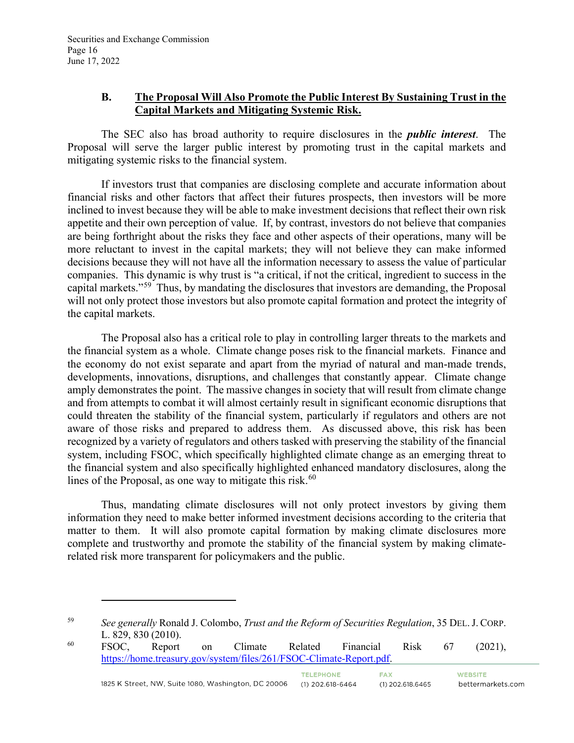## **B. The Proposal Will Also Promote the Public Interest By Sustaining Trust in the Capital Markets and Mitigating Systemic Risk.**

The SEC also has broad authority to require disclosures in the *public interest*. The Proposal will serve the larger public interest by promoting trust in the capital markets and mitigating systemic risks to the financial system.

If investors trust that companies are disclosing complete and accurate information about financial risks and other factors that affect their futures prospects, then investors will be more inclined to invest because they will be able to make investment decisions that reflect their own risk appetite and their own perception of value. If, by contrast, investors do not believe that companies are being forthright about the risks they face and other aspects of their operations, many will be more reluctant to invest in the capital markets; they will not believe they can make informed decisions because they will not have all the information necessary to assess the value of particular companies. This dynamic is why trust is "a critical, if not the critical, ingredient to success in the capital markets."[59](#page-15-0) Thus, by mandating the disclosures that investors are demanding, the Proposal will not only protect those investors but also promote capital formation and protect the integrity of the capital markets.

The Proposal also has a critical role to play in controlling larger threats to the markets and the financial system as a whole. Climate change poses risk to the financial markets. Finance and the economy do not exist separate and apart from the myriad of natural and man-made trends, developments, innovations, disruptions, and challenges that constantly appear. Climate change amply demonstrates the point. The massive changes in society that will result from climate change and from attempts to combat it will almost certainly result in significant economic disruptions that could threaten the stability of the financial system, particularly if regulators and others are not aware of those risks and prepared to address them. As discussed above, this risk has been recognized by a variety of regulators and others tasked with preserving the stability of the financial system, including FSOC, which specifically highlighted climate change as an emerging threat to the financial system and also specifically highlighted enhanced mandatory disclosures, along the lines of the Proposal, as one way to mitigate this risk.<sup>[60](#page-15-1)</sup>

Thus, mandating climate disclosures will not only protect investors by giving them information they need to make better informed investment decisions according to the criteria that matter to them. It will also promote capital formation by making climate disclosures more complete and trustworthy and promote the stability of the financial system by making climaterelated risk more transparent for policymakers and the public.

<span id="page-15-1"></span>L. 829, 830 (2010).<br>
FSOC, Report on Climate Related Financial Risk 67 (2021), [https://home.treasury.gov/system/files/261/FSOC-Climate-Report.pdf.](https://home.treasury.gov/system/files/261/FSOC-Climate-Report.pdf) TELEPHONE. **FAX WEBSITE** 

<span id="page-15-0"></span><sup>59</sup> *See generally* Ronald J. Colombo, *Trust and the Reform of Securities Regulation*, 35 DEL.J. CORP.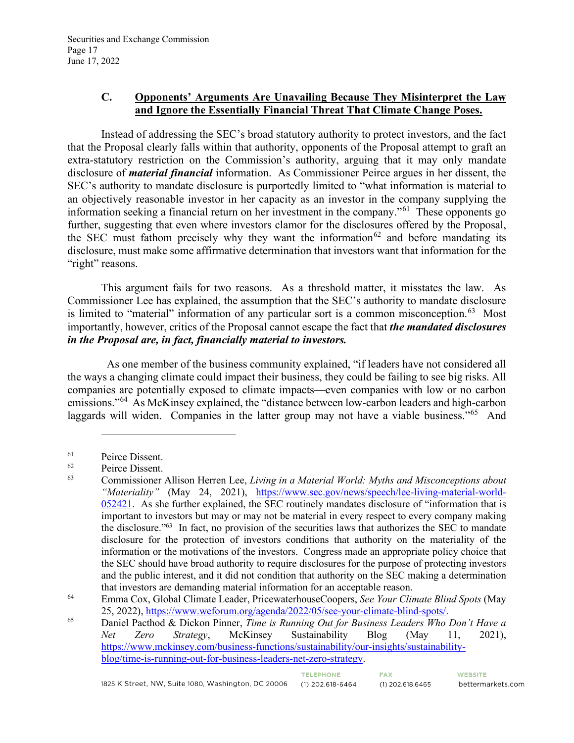## **C. Opponents' Arguments Are Unavailing Because They Misinterpret the Law and Ignore the Essentially Financial Threat That Climate Change Poses.**

Instead of addressing the SEC's broad statutory authority to protect investors, and the fact that the Proposal clearly falls within that authority, opponents of the Proposal attempt to graft an extra-statutory restriction on the Commission's authority, arguing that it may only mandate disclosure of *material financial* information. As Commissioner Peirce argues in her dissent, the SEC's authority to mandate disclosure is purportedly limited to "what information is material to an objectively reasonable investor in her capacity as an investor in the company supplying the information seeking a financial return on her investment in the company."[61](#page-16-0) These opponents go further, suggesting that even where investors clamor for the disclosures offered by the Proposal, the SEC must fathom precisely why they want the information<sup>[62](#page-16-1)</sup> and before mandating its disclosure, must make some affirmative determination that investors want that information for the "right" reasons.

This argument fails for two reasons. As a threshold matter, it misstates the law. As Commissioner Lee has explained, the assumption that the SEC's authority to mandate disclosure is limited to "material" information of any particular sort is a common misconception.<sup>[63](#page-16-2)</sup> Most importantly, however, critics of the Proposal cannot escape the fact that *the mandated disclosures in the Proposal are, in fact, financially material to investors.*

 As one member of the business community explained, "if leaders have not considered all the ways a changing climate could impact their business, they could be failing to see big risks. All companies are potentially exposed to climate impacts—even companies with low or no carbon emissions."[64](#page-16-3) As McKinsey explained, the "distance between low-carbon leaders and high-carbon laggards will widen. Companies in the latter group may not have a viable business."<sup>[65](#page-16-4)</sup> And

<span id="page-16-0"></span> $^{61}$  Peirce Dissent.<br> $^{62}$  Peirce Dissent

<span id="page-16-2"></span><span id="page-16-1"></span> $^{62}$  Peirce Dissent.

<sup>63</sup> Commissioner Allison Herren Lee, *Living in a Material World: Myths and Misconceptions about "Materiality"* (May 24, 2021), [https://www.sec.gov/news/speech/lee-living-material-world-](https://www.sec.gov/news/speech/lee-living-material-world-052421)[052421.](https://www.sec.gov/news/speech/lee-living-material-world-052421) As she further explained, the SEC routinely mandates disclosure of "information that is important to investors but may or may not be material in every respect to every company making the disclosure."63 In fact, no provision of the securities laws that authorizes the SEC to mandate disclosure for the protection of investors conditions that authority on the materiality of the information or the motivations of the investors. Congress made an appropriate policy choice that the SEC should have broad authority to require disclosures for the purpose of protecting investors and the public interest, and it did not condition that authority on the SEC making a determination that investors are demanding material information for an acceptable reason.

<span id="page-16-3"></span><sup>64</sup> Emma Cox, Global Climate Leader, PricewaterhouseCoopers, *See Your Climate Blind Spots* (May 25, 2022), [https://www.weforum.org/agenda/2022/05/see-your-climate-blind-spots/.](https://www.weforum.org/agenda/2022/05/see-your-climate-blind-spots/) 65 Daniel Pacthod & Dickon Pinner, *Time is Running Out for Business Leaders Who Don't Have a* 

<span id="page-16-4"></span>*Net Zero Strategy*, McKinsey Sustainability Blog (May 11, 2021), [https://www.mckinsey.com/business-functions/sustainability/our-insights/sustainability](https://www.mckinsey.com/business-functions/sustainability/our-insights/sustainability-blog/time-is-running-out-for-business-leaders-net-zero-strategy)[blog/time-is-running-out-for-business-leaders-net-zero-strategy.](https://www.mckinsey.com/business-functions/sustainability/our-insights/sustainability-blog/time-is-running-out-for-business-leaders-net-zero-strategy)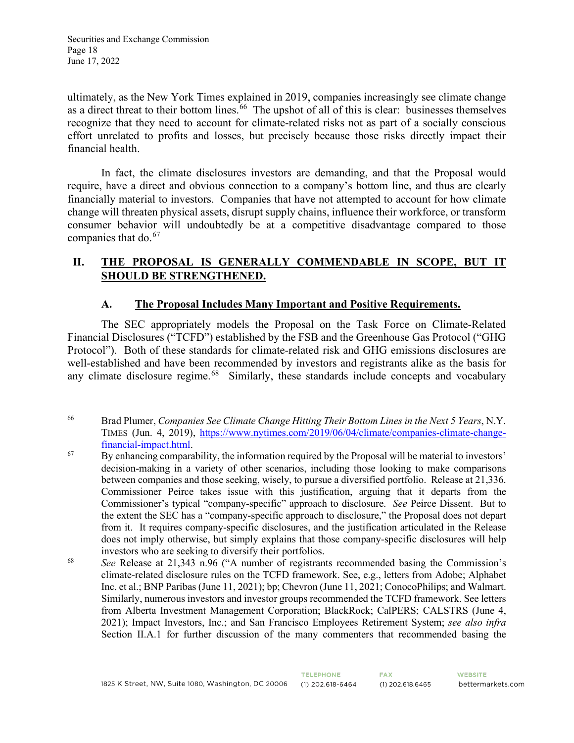Securities and Exchange Commission Page 18 June 17, 2022

ultimately, as the New York Times explained in 2019, companies increasingly see climate change as a direct threat to their bottom lines.<sup>66</sup> The upshot of all of this is clear: businesses themselves recognize that they need to account for climate-related risks not as part of a socially conscious effort unrelated to profits and losses, but precisely because those risks directly impact their financial health.

In fact, the climate disclosures investors are demanding, and that the Proposal would require, have a direct and obvious connection to a company's bottom line, and thus are clearly financially material to investors. Companies that have not attempted to account for how climate change will threaten physical assets, disrupt supply chains, influence their workforce, or transform consumer behavior will undoubtedly be at a competitive disadvantage compared to those companies that do.<sup>[67](#page-17-1)</sup>

## **II. THE PROPOSAL IS GENERALLY COMMENDABLE IN SCOPE, BUT IT SHOULD BE STRENGTHENED.**

## **A. The Proposal Includes Many Important and Positive Requirements.**

The SEC appropriately models the Proposal on the Task Force on Climate-Related Financial Disclosures ("TCFD") established by the FSB and the Greenhouse Gas Protocol ("GHG Protocol"). Both of these standards for climate-related risk and GHG emissions disclosures are well-established and have been recommended by investors and registrants alike as the basis for any climate disclosure regime.<sup>68</sup> Similarly, these standards include concepts and vocabulary

<span id="page-17-0"></span><sup>66</sup> Brad Plumer, *Companies See Climate Change Hitting Their Bottom Lines in the Next 5 Years*, N.Y. TIMES (Jun. 4, 2019), https://www.nytimes.com/2019/06/04/climate/companies-climate-change-<br>financial-impact.html.

<span id="page-17-1"></span> $\overline{B}$  By enhancing comparability, the information required by the Proposal will be material to investors' decision-making in a variety of other scenarios, including those looking to make comparisons between companies and those seeking, wisely, to pursue a diversified portfolio. Release at 21,336. Commissioner Peirce takes issue with this justification, arguing that it departs from the Commissioner's typical "company-specific" approach to disclosure. *See* Peirce Dissent. But to the extent the SEC has a "company-specific approach to disclosure," the Proposal does not depart from it. It requires company-specific disclosures, and the justification articulated in the Release does not imply otherwise, but simply explains that those company-specific disclosures will help investors who are seeking to diversify their portfolios.

<span id="page-17-2"></span><sup>68</sup> *See* Release at 21,343 n.96 ("A number of registrants recommended basing the Commission's climate-related disclosure rules on the TCFD framework. See, e.g., letters from Adobe; Alphabet Inc. et al.; BNP Paribas (June 11, 2021); bp; Chevron (June 11, 2021; ConocoPhilips; and Walmart. Similarly, numerous investors and investor groups recommended the TCFD framework. See letters from Alberta Investment Management Corporation; BlackRock; CalPERS; CALSTRS (June 4, 2021); Impact Investors, Inc.; and San Francisco Employees Retirement System; *see also infra* Section II.A.1 for further discussion of the many commenters that recommended basing the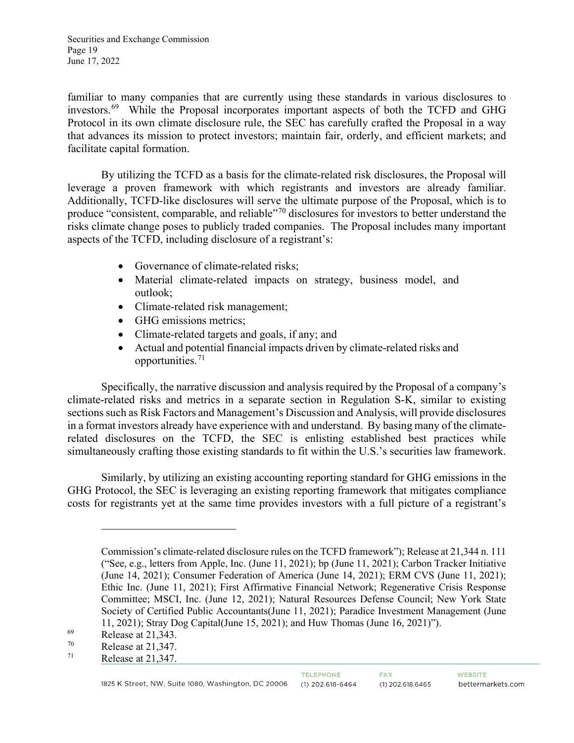Securities and Exchange Commission Page 19 June 17, 2022

familiar to many companies that are currently using these standards in various disclosures to investors.[69](#page-18-0) While the Proposal incorporates important aspects of both the TCFD and GHG Protocol in its own climate disclosure rule, the SEC has carefully crafted the Proposal in a way that advances its mission to protect investors; maintain fair, orderly, and efficient markets; and facilitate capital formation.

By utilizing the TCFD as a basis for the climate-related risk disclosures, the Proposal will leverage a proven framework with which registrants and investors are already familiar. Additionally, TCFD-like disclosures will serve the ultimate purpose of the Proposal, which is to produce "consistent, comparable, and reliable"[70](#page-18-1) disclosures for investors to better understand the risks climate change poses to publicly traded companies. The Proposal includes many important aspects of the TCFD, including disclosure of a registrant's:

- Governance of climate-related risks;
- Material climate-related impacts on strategy, business model, and outlook;
- Climate-related risk management;
- GHG emissions metrics;
- Climate-related targets and goals, if any; and
- Actual and potential financial impacts driven by climate-related risks and opportunities.[71](#page-18-2)

Specifically, the narrative discussion and analysis required by the Proposal of a company's climate-related risks and metrics in a separate section in Regulation S-K, similar to existing sections such as Risk Factors and Management's Discussion and Analysis, will provide disclosures in a format investors already have experience with and understand. By basing many of the climaterelated disclosures on the TCFD, the SEC is enlisting established best practices while simultaneously crafting those existing standards to fit within the U.S.'s securities law framework.

Similarly, by utilizing an existing accounting reporting standard for GHG emissions in the GHG Protocol, the SEC is leveraging an existing reporting framework that mitigates compliance costs for registrants yet at the same time provides investors with a full picture of a registrant's

Commission's climate-related disclosure rules on the TCFD framework"); Release at 21,344 n. 111 ("See, e.g., letters from Apple, Inc. (June 11, 2021); bp (June 11, 2021); Carbon Tracker Initiative (June 14, 2021); Consumer Federation of America (June 14, 2021); ERM CVS (June 11, 2021); Ethic Inc. (June 11, 2021); First Affirmative Financial Network; Regenerative Crisis Response Committee; MSCI, Inc. (June 12, 2021); Natural Resources Defense Council; New York State Society of Certified Public Accountants(June 11, 2021); Paradice Investment Management (June 11, 2021); Stray Dog Capital(June 15, 2021); and Huw Thomas (June 16, 2021)").

<span id="page-18-0"></span> $^{69}$  Release at 21,343.<br>
Release at 21.347

<span id="page-18-1"></span> $^{70}$  Release at 21,347.<br>  $^{71}$  Release at 21,347.

<span id="page-18-2"></span>Release at 21,347.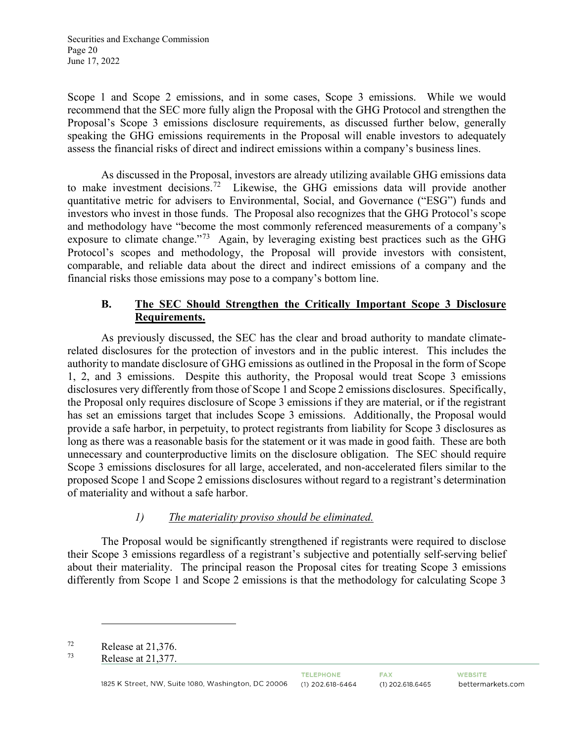Scope 1 and Scope 2 emissions, and in some cases, Scope 3 emissions. While we would recommend that the SEC more fully align the Proposal with the GHG Protocol and strengthen the Proposal's Scope 3 emissions disclosure requirements, as discussed further below, generally speaking the GHG emissions requirements in the Proposal will enable investors to adequately assess the financial risks of direct and indirect emissions within a company's business lines.

As discussed in the Proposal, investors are already utilizing available GHG emissions data to make investment decisions.<sup>72</sup> Likewise, the GHG emissions data will provide another quantitative metric for advisers to Environmental, Social, and Governance ("ESG") funds and investors who invest in those funds. The Proposal also recognizes that the GHG Protocol's scope and methodology have "become the most commonly referenced measurements of a company's exposure to climate change."<sup>[73](#page-19-1)</sup> Again, by leveraging existing best practices such as the GHG Protocol's scopes and methodology, the Proposal will provide investors with consistent, comparable, and reliable data about the direct and indirect emissions of a company and the financial risks those emissions may pose to a company's bottom line.

# **B. The SEC Should Strengthen the Critically Important Scope 3 Disclosure Requirements.**

As previously discussed, the SEC has the clear and broad authority to mandate climaterelated disclosures for the protection of investors and in the public interest. This includes the authority to mandate disclosure of GHG emissions as outlined in the Proposal in the form of Scope 1, 2, and 3 emissions. Despite this authority, the Proposal would treat Scope 3 emissions disclosures very differently from those of Scope 1 and Scope 2 emissions disclosures. Specifically, the Proposal only requires disclosure of Scope 3 emissions if they are material, or if the registrant has set an emissions target that includes Scope 3 emissions. Additionally, the Proposal would provide a safe harbor, in perpetuity, to protect registrants from liability for Scope 3 disclosures as long as there was a reasonable basis for the statement or it was made in good faith. These are both unnecessary and counterproductive limits on the disclosure obligation. The SEC should require Scope 3 emissions disclosures for all large, accelerated, and non-accelerated filers similar to the proposed Scope 1 and Scope 2 emissions disclosures without regard to a registrant's determination of materiality and without a safe harbor.

## *1) The materiality proviso should be eliminated.*

The Proposal would be significantly strengthened if registrants were required to disclose their Scope 3 emissions regardless of a registrant's subjective and potentially self-serving belief about their materiality. The principal reason the Proposal cites for treating Scope 3 emissions differently from Scope 1 and Scope 2 emissions is that the methodology for calculating Scope 3

<span id="page-19-1"></span><span id="page-19-0"></span> $P^{72}$  Release at 21,376.

Release at 21,377.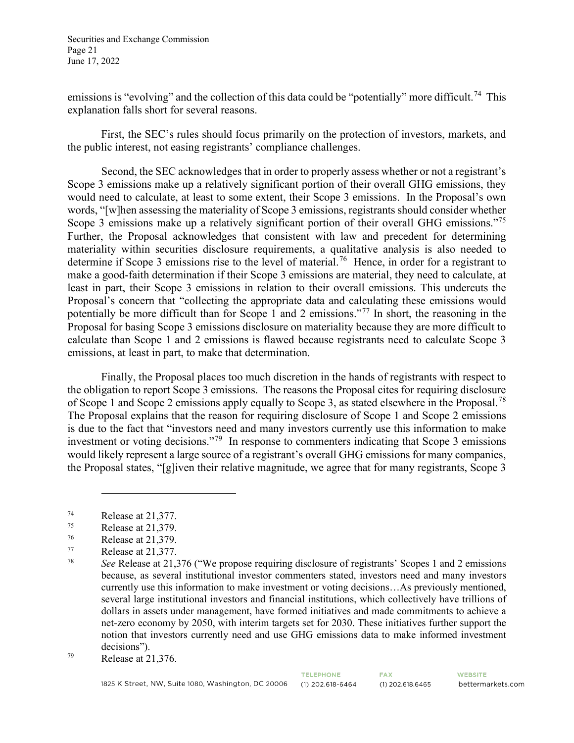Securities and Exchange Commission Page 21 June 17, 2022

emissions is "evolving" and the collection of this data could be "potentially" more difficult.<sup>[74](#page-20-0)</sup> This explanation falls short for several reasons.

First, the SEC's rules should focus primarily on the protection of investors, markets, and the public interest, not easing registrants' compliance challenges.

Second, the SEC acknowledges that in order to properly assess whether or not a registrant's Scope 3 emissions make up a relatively significant portion of their overall GHG emissions, they would need to calculate, at least to some extent, their Scope 3 emissions. In the Proposal's own words, "[w]hen assessing the materiality of Scope 3 emissions, registrants should consider whether Scope 3 emissions make up a relatively significant portion of their overall GHG emissions."<sup>[75](#page-20-1)</sup> Further, the Proposal acknowledges that consistent with law and precedent for determining materiality within securities disclosure requirements, a qualitative analysis is also needed to determine if Scope 3 emissions rise to the level of material.<sup>[76](#page-20-2)</sup> Hence, in order for a registrant to make a good-faith determination if their Scope 3 emissions are material, they need to calculate, at least in part, their Scope 3 emissions in relation to their overall emissions. This undercuts the Proposal's concern that "collecting the appropriate data and calculating these emissions would potentially be more difficult than for Scope 1 and 2 emissions."[77](#page-20-3) In short, the reasoning in the Proposal for basing Scope 3 emissions disclosure on materiality because they are more difficult to calculate than Scope 1 and 2 emissions is flawed because registrants need to calculate Scope 3 emissions, at least in part, to make that determination.

Finally, the Proposal places too much discretion in the hands of registrants with respect to the obligation to report Scope 3 emissions. The reasons the Proposal cites for requiring disclosure of Scope 1 and Scope 2 emissions apply equally to Scope 3, as stated elsewhere in the Proposal.[78](#page-20-4) The Proposal explains that the reason for requiring disclosure of Scope 1 and Scope 2 emissions is due to the fact that "investors need and many investors currently use this information to make investment or voting decisions."[79](#page-20-5) In response to commenters indicating that Scope 3 emissions would likely represent a large source of a registrant's overall GHG emissions for many companies, the Proposal states, "[g]iven their relative magnitude, we agree that for many registrants, Scope 3

<span id="page-20-0"></span> $^{74}$  Release at 21,377.<br>
Release at 21.379

<span id="page-20-1"></span> $^{75}$  Release at 21,379.<br> $^{76}$  Release at 21,379

<span id="page-20-2"></span> $^{76}$  Release at 21,379.<br>
Release at 21.377

<span id="page-20-4"></span><span id="page-20-3"></span> $^{77}$  Release at 21,377.

<sup>78</sup> *See* Release at 21,376 ("We propose requiring disclosure of registrants' Scopes 1 and 2 emissions because, as several institutional investor commenters stated, investors need and many investors currently use this information to make investment or voting decisions…As previously mentioned, several large institutional investors and financial institutions, which collectively have trillions of dollars in assets under management, have formed initiatives and made commitments to achieve a net-zero economy by 2050, with interim targets set for 2030. These initiatives further support the notion that investors currently need and use GHG emissions data to make informed investment decisions").

<span id="page-20-5"></span><sup>79</sup> Release at 21,376.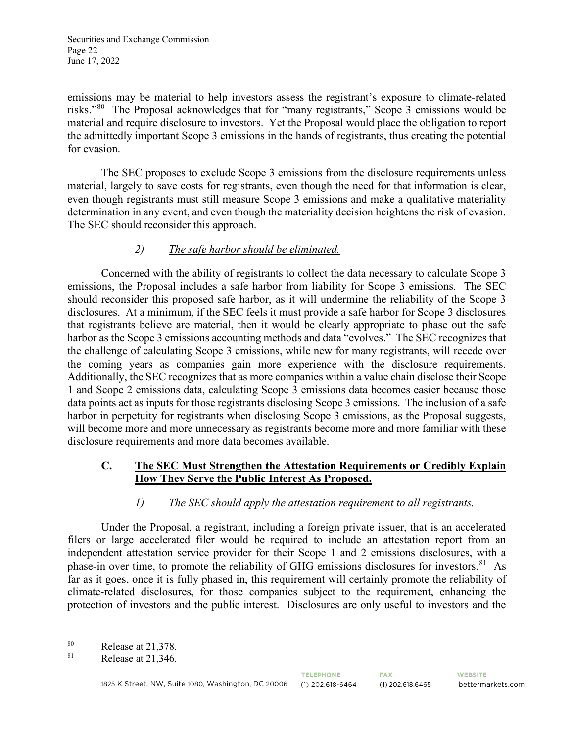Securities and Exchange Commission Page 22 June 17, 2022

emissions may be material to help investors assess the registrant's exposure to climate-related risks."[80](#page-21-0) The Proposal acknowledges that for "many registrants," Scope 3 emissions would be material and require disclosure to investors. Yet the Proposal would place the obligation to report the admittedly important Scope 3 emissions in the hands of registrants, thus creating the potential for evasion.

The SEC proposes to exclude Scope 3 emissions from the disclosure requirements unless material, largely to save costs for registrants, even though the need for that information is clear, even though registrants must still measure Scope 3 emissions and make a qualitative materiality determination in any event, and even though the materiality decision heightens the risk of evasion. The SEC should reconsider this approach.

#### *2) The safe harbor should be eliminated.*

Concerned with the ability of registrants to collect the data necessary to calculate Scope 3 emissions, the Proposal includes a safe harbor from liability for Scope 3 emissions. The SEC should reconsider this proposed safe harbor, as it will undermine the reliability of the Scope 3 disclosures. At a minimum, if the SEC feels it must provide a safe harbor for Scope 3 disclosures that registrants believe are material, then it would be clearly appropriate to phase out the safe harbor as the Scope 3 emissions accounting methods and data "evolves." The SEC recognizes that the challenge of calculating Scope 3 emissions, while new for many registrants, will recede over the coming years as companies gain more experience with the disclosure requirements. Additionally, the SEC recognizes that as more companies within a value chain disclose their Scope 1 and Scope 2 emissions data, calculating Scope 3 emissions data becomes easier because those data points act as inputs for those registrants disclosing Scope 3 emissions. The inclusion of a safe harbor in perpetuity for registrants when disclosing Scope 3 emissions, as the Proposal suggests, will become more and more unnecessary as registrants become more and more familiar with these disclosure requirements and more data becomes available.

## **C. The SEC Must Strengthen the Attestation Requirements or Credibly Explain How They Serve the Public Interest As Proposed.**

## *1) The SEC should apply the attestation requirement to all registrants.*

Under the Proposal, a registrant, including a foreign private issuer, that is an accelerated filers or large accelerated filer would be required to include an attestation report from an independent attestation service provider for their Scope 1 and 2 emissions disclosures, with a phase-in over time, to promote the reliability of GHG emissions disclosures for investors.<sup>[81](#page-21-1)</sup> As far as it goes, once it is fully phased in, this requirement will certainly promote the reliability of climate-related disclosures, for those companies subject to the requirement, enhancing the protection of investors and the public interest. Disclosures are only useful to investors and the

<span id="page-21-1"></span><span id="page-21-0"></span> $^{80}$  Release at 21,378.<br> $^{81}$  Release at 21,378.

Release at 21,346.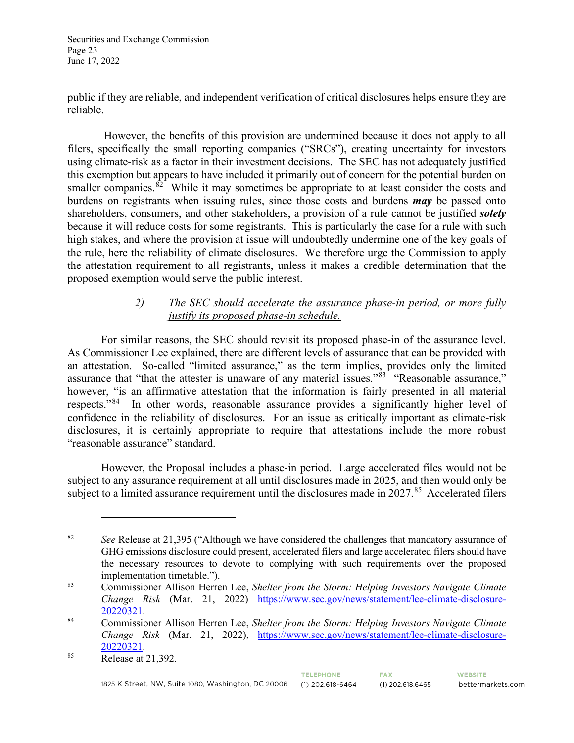Securities and Exchange Commission Page 23 June 17, 2022

public if they are reliable, and independent verification of critical disclosures helps ensure they are reliable.

 However, the benefits of this provision are undermined because it does not apply to all filers, specifically the small reporting companies ("SRCs"), creating uncertainty for investors using climate-risk as a factor in their investment decisions. The SEC has not adequately justified this exemption but appears to have included it primarily out of concern for the potential burden on smaller companies. $82^{\degree}$  $82^{\degree}$  While it may sometimes be appropriate to at least consider the costs and burdens on registrants when issuing rules, since those costs and burdens *may* be passed onto shareholders, consumers, and other stakeholders, a provision of a rule cannot be justified *solely*  because it will reduce costs for some registrants. This is particularly the case for a rule with such high stakes, and where the provision at issue will undoubtedly undermine one of the key goals of the rule, here the reliability of climate disclosures. We therefore urge the Commission to apply the attestation requirement to all registrants, unless it makes a credible determination that the proposed exemption would serve the public interest.

## *2) The SEC should accelerate the assurance phase-in period, or more fully justify its proposed phase-in schedule.*

For similar reasons, the SEC should revisit its proposed phase-in of the assurance level. As Commissioner Lee explained, there are different levels of assurance that can be provided with an attestation. So-called "limited assurance," as the term implies, provides only the limited assurance that "that the attester is unaware of any material issues."<sup>[83](#page-22-1)</sup> "Reasonable assurance." however, "is an affirmative attestation that the information is fairly presented in all material respects."[84](#page-22-2) In other words, reasonable assurance provides a significantly higher level of confidence in the reliability of disclosures. For an issue as critically important as climate-risk disclosures, it is certainly appropriate to require that attestations include the more robust "reasonable assurance" standard.

However, the Proposal includes a phase-in period. Large accelerated files would not be subject to any assurance requirement at all until disclosures made in 2025, and then would only be subject to a limited assurance requirement until the disclosures made in 2027.<sup>[85](#page-22-3)</sup> Accelerated filers

TELEPHONE.

<span id="page-22-0"></span><sup>82</sup> *See* Release at 21,395 ("Although we have considered the challenges that mandatory assurance of GHG emissions disclosure could present, accelerated filers and large accelerated filers should have the necessary resources to devote to complying with such requirements over the proposed implementation timetable.").

<span id="page-22-1"></span><sup>83</sup> Commissioner Allison Herren Lee, *Shelter from the Storm: Helping Investors Navigate Climate Change Risk* (Mar. 21, 2022) https://www.sec.gov/news/statement/lee-climate-disclosure-20220321.

<span id="page-22-2"></span><sup>&</sup>lt;sup>84</sup> Commissioner Allison Herren Lee, *Shelter from the Storm: Helping Investors Navigate Climate Change Risk* (Mar. 21, 2022), [https://www.sec.gov/news/statement/lee-climate-disclosure-](https://www.sec.gov/news/statement/lee-climate-disclosure-20220321)<sup>85</sup>  $\frac{20220321}{\text{Release at } 21,392.}$ 

<span id="page-22-3"></span>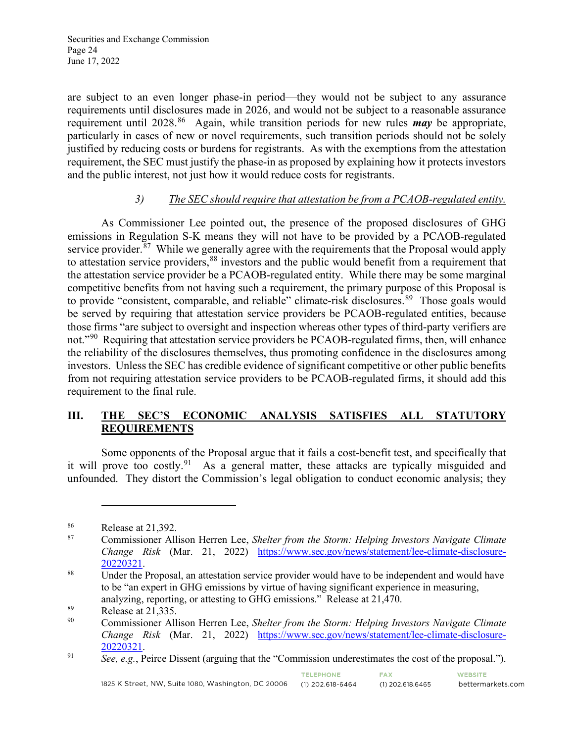are subject to an even longer phase-in period—they would not be subject to any assurance requirements until disclosures made in 2026, and would not be subject to a reasonable assurance requirement until 2028.[86](#page-23-0) Again, while transition periods for new rules *may* be appropriate, particularly in cases of new or novel requirements, such transition periods should not be solely justified by reducing costs or burdens for registrants. As with the exemptions from the attestation requirement, the SEC must justify the phase-in as proposed by explaining how it protects investors and the public interest, not just how it would reduce costs for registrants.

# *3) The SEC should require that attestation be from a PCAOB-regulated entity.*

As Commissioner Lee pointed out, the presence of the proposed disclosures of GHG emissions in Regulation S-K means they will not have to be provided by a PCAOB-regulated service provider. $87$  While we generally agree with the requirements that the Proposal would apply to attestation service providers, <sup>[88](#page-23-2)</sup> investors and the public would benefit from a requirement that the attestation service provider be a PCAOB-regulated entity. While there may be some marginal competitive benefits from not having such a requirement, the primary purpose of this Proposal is to provide "consistent, comparable, and reliable" climate-risk disclosures.<sup>89</sup> Those goals would be served by requiring that attestation service providers be PCAOB-regulated entities, because those firms "are subject to oversight and inspection whereas other types of third-party verifiers are not."<sup>[90](#page-23-4)</sup> Requiring that attestation service providers be PCAOB-regulated firms, then, will enhance the reliability of the disclosures themselves, thus promoting confidence in the disclosures among investors. Unless the SEC has credible evidence of significant competitive or other public benefits from not requiring attestation service providers to be PCAOB-regulated firms, it should add this requirement to the final rule.

## **III. THE SEC'S ECONOMIC ANALYSIS SATISFIES ALL STATUTORY REQUIREMENTS**

Some opponents of the Proposal argue that it fails a cost-benefit test, and specifically that it will prove too costly.[91](#page-23-5) As a general matter, these attacks are typically misguided and unfounded. They distort the Commission's legal obligation to conduct economic analysis; they

**FAX** 

 $(1)$  202.618.6465

<span id="page-23-0"></span> $rac{86}{87}$  Release at 21,392.

<span id="page-23-1"></span><sup>87</sup> Commissioner Allison Herren Lee, *Shelter from the Storm: Helping Investors Navigate Climate Change Risk* (Mar. 21, 2022) [https://www.sec.gov/news/statement/lee-climate-disclosure-](https://www.sec.gov/news/statement/lee-climate-disclosure-20220321)<sup>20220321</sup>.<br><sup>88</sup> Under the Proposal, an attestation service provider would have to be independent and would have

<span id="page-23-2"></span>to be "an expert in GHG emissions by virtue of having significant experience in measuring, analyzing, reporting, or attesting to GHG emissions." Release at 21,470.

<span id="page-23-3"></span><sup>89</sup> Release at 21,335.

<span id="page-23-4"></span><sup>90</sup> Commissioner Allison Herren Lee, *Shelter from the Storm: Helping Investors Navigate Climate Change Risk* (Mar. 21, 2022) [https://www.sec.gov/news/statement/lee-climate-disclosure-](https://www.sec.gov/news/statement/lee-climate-disclosure-20220321)<sup>91</sup> *See, e.g.*, Peirce Dissent (arguing that the "Commission underestimates the cost of the proposal.").

<span id="page-23-5"></span>

**WEBSITE** bettermarkets.com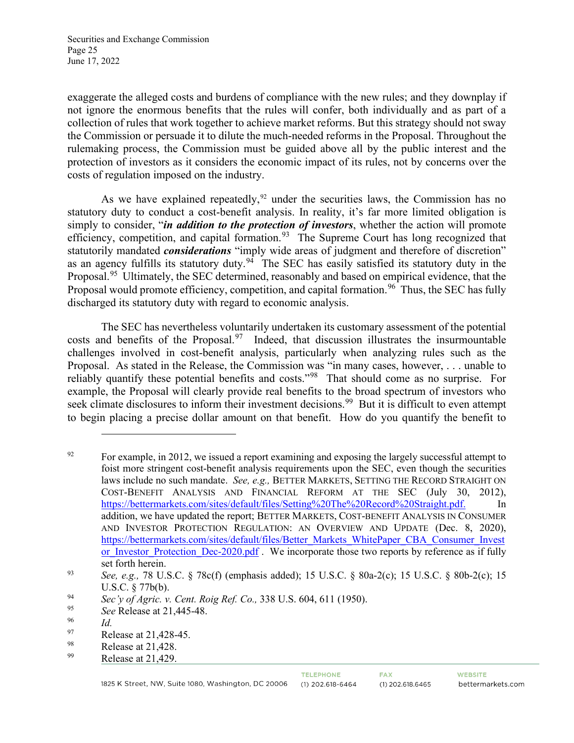Securities and Exchange Commission Page 25 June 17, 2022

exaggerate the alleged costs and burdens of compliance with the new rules; and they downplay if not ignore the enormous benefits that the rules will confer, both individually and as part of a collection of rules that work together to achieve market reforms. But this strategy should not sway the Commission or persuade it to dilute the much-needed reforms in the Proposal. Throughout the rulemaking process, the Commission must be guided above all by the public interest and the protection of investors as it considers the economic impact of its rules, not by concerns over the costs of regulation imposed on the industry.

As we have explained repeatedly, $92$  under the securities laws, the Commission has no statutory duty to conduct a cost-benefit analysis. In reality, it's far more limited obligation is simply to consider, "*in addition to the protection of investors*, whether the action will promote efficiency, competition, and capital formation.<sup>[93](#page-24-1)</sup> The Supreme Court has long recognized that statutorily mandated *considerations* "imply wide areas of judgment and therefore of discretion" as an agency fulfills its statutory duty.<sup>94</sup> The SEC has easily satisfied its statutory duty in the Proposal.[95](#page-24-3) Ultimately, the SEC determined, reasonably and based on empirical evidence, that the Proposal would promote efficiency, competition, and capital formation.<sup>[96](#page-24-4)</sup> Thus, the SEC has fully discharged its statutory duty with regard to economic analysis.

The SEC has nevertheless voluntarily undertaken its customary assessment of the potential costs and benefits of the Proposal.<sup>[97](#page-24-5)</sup> Indeed, that discussion illustrates the insurmountable challenges involved in cost-benefit analysis, particularly when analyzing rules such as the Proposal. As stated in the Release, the Commission was "in many cases, however, . . . unable to reliably quantify these potential benefits and costs."[98](#page-24-6) That should come as no surprise. For example, the Proposal will clearly provide real benefits to the broad spectrum of investors who seek climate disclosures to inform their investment decisions.<sup>99</sup> But it is difficult to even attempt to begin placing a precise dollar amount on that benefit. How do you quantify the benefit to

<span id="page-24-0"></span> $^{92}$  For example, in 2012, we issued a report examining and exposing the largely successful attempt to foist more stringent cost-benefit analysis requirements upon the SEC, even though the securities laws include no such mandate. *See, e.g.,* BETTER MARKETS, SETTING THE RECORD STRAIGHT ON COST-BENEFIT ANALYSIS AND FINANCIAL REFORM AT THE SEC (July 30, 2012), [https://bettermarkets.com/sites/default/files/Setting%20The%20Record%20Straight.pdf.](https://bettermarkets.com/sites/default/files/Setting%20The%20Record%20Straight.pdf) In addition, we have updated the report; BETTER MARKETS, COST-BENEFIT ANALYSIS IN CONSUMER AND INVESTOR PROTECTION REGULATION: AN OVERVIEW AND UPDATE (Dec. 8, 2020), [https://bettermarkets.com/sites/default/files/Better\\_Markets\\_WhitePaper\\_CBA\\_Consumer\\_Invest](https://bettermarkets.com/sites/default/files/Better_Markets_WhitePaper_CBA_Consumer_Investor_Investor_Protection_Dec-2020.pdf) or Investor Protection Dec-2020.pdf. We incorporate those two reports by reference as if fully

<span id="page-24-1"></span>set forth herein.<br><sup>93</sup> *See, e.g.,* 78 U.S.C. § 78c(f) (emphasis added); 15 U.S.C. § 80a-2(c); 15 U.S.C. § 80b-2(c); 15 U.S.C. § 77b(b).

<span id="page-24-2"></span><sup>94</sup> *Sec'y of Agric. v. Cent. Roig Ref. Co.*, 338 U.S. 604, 611 (1950).<br>
See Release at 21 445-48

<span id="page-24-3"></span><sup>95</sup> *See* Release at 21,445-48.

<span id="page-24-4"></span> $\frac{96}{97}$  *Id.* 

<span id="page-24-5"></span> $^{97}$  Release at 21,428-45.<br>
Release at 21.428

<span id="page-24-6"></span><sup>&</sup>lt;sup>98</sup> Release at 21,428.<br>Pelasse at 21,420

<span id="page-24-7"></span>Release at 21,429.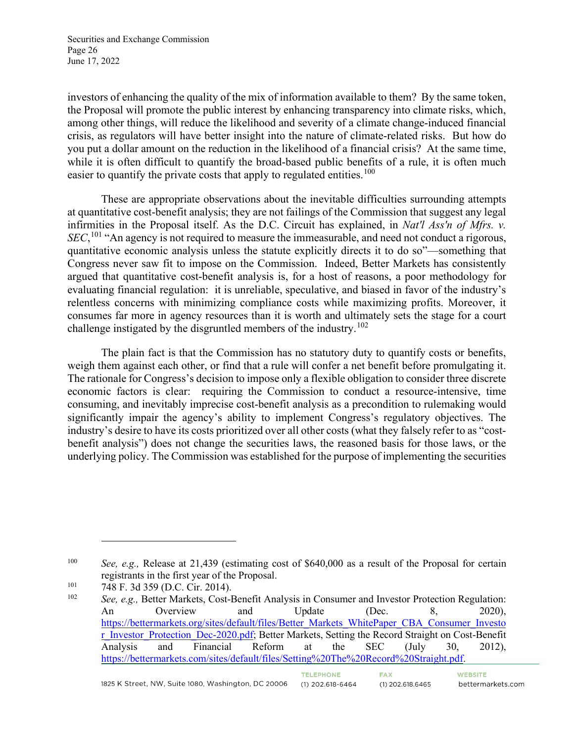Securities and Exchange Commission Page 26 June 17, 2022

investors of enhancing the quality of the mix of information available to them? By the same token, the Proposal will promote the public interest by enhancing transparency into climate risks, which, among other things, will reduce the likelihood and severity of a climate change-induced financial crisis, as regulators will have better insight into the nature of climate-related risks. But how do you put a dollar amount on the reduction in the likelihood of a financial crisis? At the same time, while it is often difficult to quantify the broad-based public benefits of a rule, it is often much easier to quantify the private costs that apply to regulated entities.<sup>[100](#page-25-0)</sup>

These are appropriate observations about the inevitable difficulties surrounding attempts at quantitative cost-benefit analysis; they are not failings of the Commission that suggest any legal infirmities in the Proposal itself. As the D.C. Circuit has explained, in *Nat'l Ass'n of Mfrs. v. SEC*,<sup>[101](#page-25-1)</sup> "An agency is not required to measure the immeasurable, and need not conduct a rigorous, quantitative economic analysis unless the statute explicitly directs it to do so"—something that Congress never saw fit to impose on the Commission. Indeed, Better Markets has consistently argued that quantitative cost-benefit analysis is, for a host of reasons, a poor methodology for evaluating financial regulation: it is unreliable, speculative, and biased in favor of the industry's relentless concerns with minimizing compliance costs while maximizing profits. Moreover, it consumes far more in agency resources than it is worth and ultimately sets the stage for a court challenge instigated by the disgruntled members of the industry.<sup>[102](#page-25-2)</sup>

The plain fact is that the Commission has no statutory duty to quantify costs or benefits, weigh them against each other, or find that a rule will confer a net benefit before promulgating it. The rationale for Congress's decision to impose only a flexible obligation to consider three discrete economic factors is clear: requiring the Commission to conduct a resource-intensive, time consuming, and inevitably imprecise cost-benefit analysis as a precondition to rulemaking would significantly impair the agency's ability to implement Congress's regulatory objectives. The industry's desire to have its costs prioritized over all other costs (what they falsely refer to as "costbenefit analysis") does not change the securities laws, the reasoned basis for those laws, or the underlying policy. The Commission was established for the purpose of implementing the securities

<span id="page-25-0"></span><sup>100</sup> *See, e.g.,* Release at 21,439 (estimating cost of \$640,000 as a result of the Proposal for certain registrants in the first year of the Proposal.

<span id="page-25-1"></span> $^{101}$  748 F. 3d 359 (D.C. Cir. 2014).

<span id="page-25-2"></span>See, e.g., Better Markets, Cost-Benefit Analysis in Consumer and Investor Protection Regulation: An Overview and Update (Dec. 8, 2020), [https://bettermarkets.org/sites/default/files/Better\\_Markets\\_WhitePaper\\_CBA\\_Consumer\\_Investo](https://bettermarkets.org/sites/default/files/Better_Markets_WhitePaper_CBA_Consumer_Investor_Investor_Protection_Dec-2020.pdf) [r\\_Investor\\_Protection\\_Dec-2020.pdf;](https://bettermarkets.org/sites/default/files/Better_Markets_WhitePaper_CBA_Consumer_Investor_Investor_Protection_Dec-2020.pdf) Better Markets, Setting the Record Straight on Cost-Benefit Analysis and Financial Reform at the SEC (July 30, 2012), [https://bettermarkets.com/sites/default/files/Setting%20The%20Record%20Straight.pdf.](https://bettermarkets.com/sites/default/files/Setting%20The%20Record%20Straight.pdf)